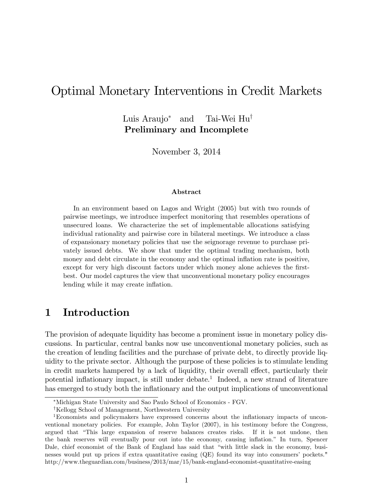# Optimal Monetary Interventions in Credit Markets

Luis Araujo<sup>\*</sup> and Tai-Wei  $\text{Hu}^{\dagger}$ Preliminary and Incomplete

November 3, 2014

### Abstract

In an environment based on Lagos and Wright (2005) but with two rounds of pairwise meetings, we introduce imperfect monitoring that resembles operations of unsecured loans. We characterize the set of implementable allocations satisfying individual rationality and pairwise core in bilateral meetings. We introduce a class of expansionary monetary policies that use the seignorage revenue to purchase privately issued debts. We show that under the optimal trading mechanism, both money and debt circulate in the economy and the optimal inflation rate is positive, except for very high discount factors under which money alone achieves the firstbest. Our model captures the view that unconventional monetary policy encourages lending while it may create inflation.

## 1 Introduction

The provision of adequate liquidity has become a prominent issue in monetary policy discussions. In particular, central banks now use unconventional monetary policies, such as the creation of lending facilities and the purchase of private debt, to directly provide liquidity to the private sector. Although the purpose of these policies is to stimulate lending in credit markets hampered by a lack of liquidity, their overall effect, particularly their potential inflationary impact, is still under debate.<sup>1</sup> Indeed, a new strand of literature has emerged to study both the inflationary and the output implications of unconventional

Michigan State University and Sao Paulo School of Economics - FGV.

<sup>&</sup>lt;sup>†</sup>Kellogg School of Management, Northwestern University

<sup>&</sup>lt;sup>1</sup>Economists and policymakers have expressed concerns about the inflationary impacts of unconventional monetary policies. For example, John Taylor (2007), in his testimony before the Congress, argued that "This large expansion of reserve balances creates risks. If it is not undone, then the bank reserves will eventually pour out into the economy, causing inflation." In turn, Spencer Dale, chief economist of the Bank of England has said that "with little slack in the economy, businesses would put up prices if extra quantitative easing (QE) found its way into consumers' pockets." http://www.theguardian.com/business/2013/mar/15/bank-england-economist-quantitative-easing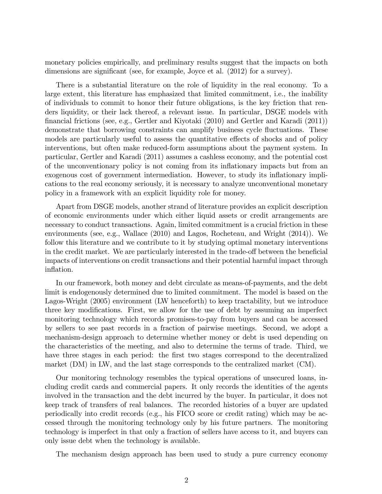monetary policies empirically, and preliminary results suggest that the impacts on both dimensions are significant (see, for example, Joyce et al.  $(2012)$  for a survey).

There is a substantial literature on the role of liquidity in the real economy. To a large extent, this literature has emphasized that limited commitment, i.e., the inability of individuals to commit to honor their future obligations, is the key friction that renders liquidity, or their lack thereof, a relevant issue. In particular, DSGE models with Önancial frictions (see, e.g., Gertler and Kiyotaki (2010) and Gertler and Karadi (2011)) demonstrate that borrowing constraints can amplify business cycle fluctuations. These models are particularly useful to assess the quantitative effects of shocks and of policy interventions, but often make reduced-form assumptions about the payment system. In particular, Gertler and Karadi (2011) assumes a cashless economy, and the potential cost of the unconventionary policy is not coming from its ináationary impacts but from an exogenous cost of government intermediation. However, to study its inflationary implications to the real economy seriously, it is necessary to analyze unconventional monetary policy in a framework with an explicit liquidity role for money.

Apart from DSGE models, another strand of literature provides an explicit description of economic environments under which either liquid assets or credit arrangements are necessary to conduct transactions. Again, limited commitment is a crucial friction in these environments (see, e.g., Wallace (2010) and Lagos, Rocheteau, and Wright (2014)). We follow this literature and we contribute to it by studying optimal monetary interventions in the credit market. We are particularly interested in the trade-off between the beneficial impacts of interventions on credit transactions and their potential harmful impact through inflation.

In our framework, both money and debt circulate as means-of-payments, and the debt limit is endogenously determined due to limited commitment. The model is based on the Lagos-Wright (2005) environment (LW henceforth) to keep tractability, but we introduce three key modifications. First, we allow for the use of debt by assuming an imperfect monitoring technology which records promises-to-pay from buyers and can be accessed by sellers to see past records in a fraction of pairwise meetings. Second, we adopt a mechanism-design approach to determine whether money or debt is used depending on the characteristics of the meeting, and also to determine the terms of trade. Third, we have three stages in each period: the first two stages correspond to the decentralized market (DM) in LW, and the last stage corresponds to the centralized market (CM).

Our monitoring technology resembles the typical operations of unsecured loans, including credit cards and commercial papers. It only records the identities of the agents involved in the transaction and the debt incurred by the buyer. In particular, it does not keep track of transfers of real balances. The recorded histories of a buyer are updated periodically into credit records (e.g., his FICO score or credit rating) which may be accessed through the monitoring technology only by his future partners. The monitoring technology is imperfect in that only a fraction of sellers have access to it, and buyers can only issue debt when the technology is available.

The mechanism design approach has been used to study a pure currency economy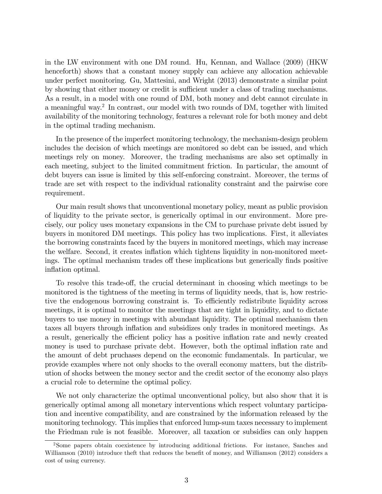in the LW environment with one DM round. Hu, Kennan, and Wallace (2009) (HKW henceforth) shows that a constant money supply can achieve any allocation achievable under perfect monitoring. Gu, Mattesini, and Wright (2013) demonstrate a similar point by showing that either money or credit is sufficient under a class of trading mechanisms. As a result, in a model with one round of DM, both money and debt cannot circulate in a meaningful way.<sup>2</sup> In contrast, our model with two rounds of DM, together with limited availability of the monitoring technology, features a relevant role for both money and debt in the optimal trading mechanism.

In the presence of the imperfect monitoring technology, the mechanism-design problem includes the decision of which meetings are monitored so debt can be issued, and which meetings rely on money. Moreover, the trading mechanisms are also set optimally in each meeting, subject to the limited commitment friction. In particular, the amount of debt buyers can issue is limited by this self-enforcing constraint. Moreover, the terms of trade are set with respect to the individual rationality constraint and the pairwise core requirement.

Our main result shows that unconventional monetary policy, meant as public provision of liquidity to the private sector, is generically optimal in our environment. More precisely, our policy uses monetary expansions in the CM to purchase private debt issued by buyers in monitored DM meetings. This policy has two implications. First, it alleviates the borrowing constraints faced by the buyers in monitored meetings, which may increase the welfare. Second, it creates ináation which tightens liquidity in non-monitored meetings. The optimal mechanism trades of these implications but generically finds positive inflation optimal.

To resolve this trade-off, the crucial determinant in choosing which meetings to be monitored is the tightness of the meeting in terms of liquidity needs, that is, how restrictive the endogenous borrowing constraint is. To efficiently redistribute liquidity across meetings, it is optimal to monitor the meetings that are tight in liquidity, and to dictate buyers to use money in meetings with abundant liquidity. The optimal mechanism then taxes all buyers through ináation and subsidizes only trades in monitored meetings. As a result, generically the efficient policy has a positive inflation rate and newly created money is used to purchase private debt. However, both the optimal inflation rate and the amount of debt pruchases depend on the economic fundamentals. In particular, we provide examples where not only shocks to the overall economy matters, but the distribution of shocks between the money sector and the credit sector of the economy also plays a crucial role to determine the optimal policy.

We not only characterize the optimal unconventional policy, but also show that it is generically optimal among all monetary interventions which respect voluntary participation and incentive compatibility, and are constrained by the information released by the monitoring technology. This implies that enforced lump-sum taxes necessary to implement the Friedman rule is not feasible. Moreover, all taxation or subsidies can only happen

<sup>2</sup>Some papers obtain coexistence by introducing additional frictions. For instance, Sanches and Williamson (2010) introduce theft that reduces the benefit of money, and Williamson (2012) considers a cost of using currency.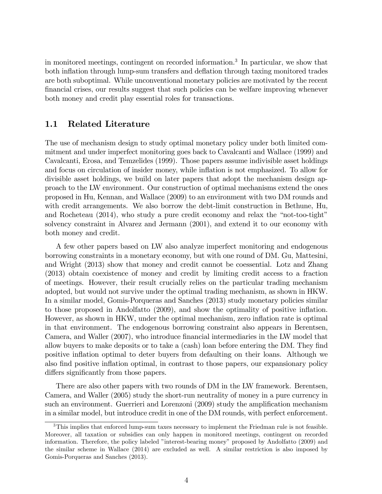in monitored meetings, contingent on recorded information.<sup>3</sup> In particular, we show that both inflation through lump-sum transfers and deflation through taxing monitored trades are both suboptimal. While unconventional monetary policies are motivated by the recent Önancial crises, our results suggest that such policies can be welfare improving whenever both money and credit play essential roles for transactions.

### 1.1 Related Literature

The use of mechanism design to study optimal monetary policy under both limited commitment and under imperfect monitoring goes back to Cavalcanti and Wallace (1999) and Cavalcanti, Erosa, and Temzelides (1999). Those papers assume indivisible asset holdings and focus on circulation of insider money, while inflation is not emphasized. To allow for divisible asset holdings, we build on later papers that adopt the mechanism design approach to the LW environment. Our construction of optimal mechanisms extend the ones proposed in Hu, Kennan, and Wallace (2009) to an environment with two DM rounds and with credit arrangements. We also borrow the debt-limit construction in Bethune, Hu, and Rocheteau  $(2014)$ , who study a pure credit economy and relax the "not-too-tight" solvency constraint in Alvarez and Jermann (2001), and extend it to our economy with both money and credit.

A few other papers based on LW also analyze imperfect monitoring and endogenous borrowing constraints in a monetary economy, but with one round of DM. Gu, Mattesini, and Wright (2013) show that money and credit cannot be coessential. Lotz and Zhang (2013) obtain coexistence of money and credit by limiting credit access to a fraction of meetings. However, their result crucially relies on the particular trading mechanism adopted, but would not survive under the optimal trading mechanism, as shown in HKW. In a similar model, Gomis-Porqueras and Sanches (2013) study monetary policies similar to those proposed in Andolfatto (2009), and show the optimality of positive ináation. However, as shown in HKW, under the optimal mechanism, zero inflation rate is optimal in that environment. The endogenous borrowing constraint also appears in Berentsen, Camera, and Waller (2007), who introduce Önancial intermediaries in the LW model that allow buyers to make deposits or to take a (cash) loan before entering the DM. They find positive ináation optimal to deter buyers from defaulting on their loans. Although we also find positive inflation optimal, in contrast to those papers, our expansionary policy differs significantly from those papers.

There are also other papers with two rounds of DM in the LW framework. Berentsen, Camera, and Waller (2005) study the short-run neutrality of money in a pure currency in such an environment. Guerrieri and Lorenzoni (2009) study the amplification mechanism in a similar model, but introduce credit in one of the DM rounds, with perfect enforcement.

<sup>&</sup>lt;sup>3</sup>This implies that enforced lump-sum taxes necessary to implement the Friedman rule is not feasible. Moreover, all taxation or subsidies can only happen in monitored meetings, contingent on recorded information. Therefore, the policy labeled "interest-bearing money" proposed by Andolfatto (2009) and the similar scheme in Wallace (2014) are excluded as well. A similar restriction is also imposed by Gomis-Porqueras and Sanches (2013).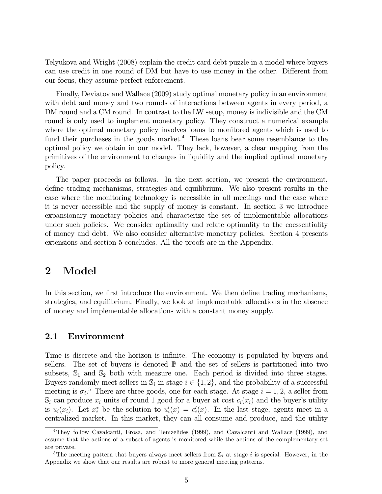Telyukova and Wright (2008) explain the credit card debt puzzle in a model where buyers can use credit in one round of DM but have to use money in the other. Different from our focus, they assume perfect enforcement.

Finally, Deviatov and Wallace (2009) study optimal monetary policy in an environment with debt and money and two rounds of interactions between agents in every period, a DM round and a CM round. In contrast to the LW setup, money is indivisible and the CM round is only used to implement monetary policy. They construct a numerical example where the optimal monetary policy involves loans to monitored agents which is used to fund their purchases in the goods market.<sup>4</sup> These loans bear some resemblance to the optimal policy we obtain in our model. They lack, however, a clear mapping from the primitives of the environment to changes in liquidity and the implied optimal monetary policy.

The paper proceeds as follows. In the next section, we present the environment, define trading mechanisms, strategies and equilibrium. We also present results in the case where the monitoring technology is accessible in all meetings and the case where it is never accessible and the supply of money is constant. In section 3 we introduce expansionary monetary policies and characterize the set of implementable allocations under such policies. We consider optimality and relate optimality to the coessentiality of money and debt. We also consider alternative monetary policies. Section 4 presents extensions and section 5 concludes. All the proofs are in the Appendix.

## 2 Model

In this section, we first introduce the environment. We then define trading mechanisms, strategies, and equilibrium. Finally, we look at implementable allocations in the absence of money and implementable allocations with a constant money supply.

## 2.1 Environment

Time is discrete and the horizon is infinite. The economy is populated by buyers and sellers. The set of buyers is denoted B and the set of sellers is partitioned into two subsets,  $\mathbb{S}_1$  and  $\mathbb{S}_2$  both with measure one. Each period is divided into three stages. Buyers randomly meet sellers in  $\mathbb{S}_i$  in stage  $i \in \{1, 2\}$ , and the probability of a successful meeting is  $\sigma_i$ <sup>5</sup>. There are three goods, one for each stage. At stage  $i = 1, 2$ , a seller from  $\mathbb{S}_i$  can produce  $x_i$  units of round 1 good for a buyer at cost  $c_i(x_i)$  and the buyer's utility is  $u_i(x_i)$ . Let  $x_i^*$  be the solution to  $u'_i(x) = c'_i(x)$ . In the last stage, agents meet in a centralized market. In this market, they can all consume and produce, and the utility

<sup>4</sup>They follow Cavalcanti, Erosa, and Temzelides (1999), and Cavalcanti and Wallace (1999), and assume that the actions of a subset of agents is monitored while the actions of the complementary set are private.

<sup>&</sup>lt;sup>5</sup>The meeting pattern that buyers always meet sellers from  $\mathbb{S}_i$  at stage i is special. However, in the Appendix we show that our results are robust to more general meeting patterns.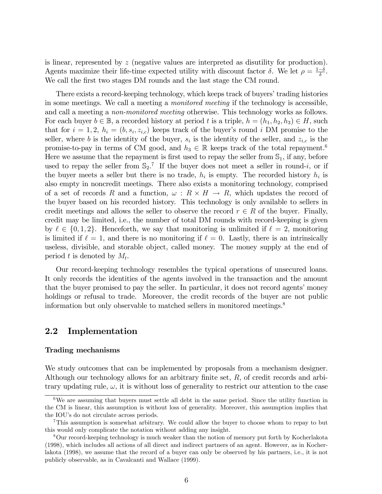is linear, represented by z (negative values are interpreted as disutility for production). Agents maximize their life-time expected utility with discount factor  $\delta$ . We let  $\rho = \frac{1-\delta}{\delta}$ . We call the first two stages DM rounds and the last stage the CM round.

There exists a record-keeping technology, which keeps track of buyers' trading histories in some meetings. We call a meeting a monitored meeting if the technology is accessible, and call a meeting a non-monitored meeting otherwise. This technology works as follows. For each buyer  $b \in \mathbb{B}$ , a recorded history at period t is a triple,  $h = (h_1, h_2, h_3) \in H$ , such that for  $i = 1, 2, h_i = (b, s_i, z_{i,c})$  keeps track of the buyer's round i DM promise to the seller, where b is the identity of the buyer,  $s_i$  is the identity of the seller, and  $z_{i,c}$  is the promise-to-pay in terms of CM good, and  $h_3 \in \mathbb{R}$  keeps track of the total repayment.<sup>6</sup> Here we assume that the repayment is first used to repay the seller from  $\mathbb{S}_1$ , if any, before used to repay the seller from  $\mathbb{S}_2$ .<sup>7</sup> If the buyer does not meet a seller in round-*i*, or if the buyer meets a seller but there is no trade,  $h_i$  is empty. The recorded history  $h_i$  is also empty in noncredit meetings. There also exists a monitoring technology, comprised of a set of records R and a function,  $\omega : R \times H \to R$ , which updates the record of the buyer based on his recorded history. This technology is only available to sellers in credit meetings and allows the seller to observe the record  $r \in R$  of the buyer. Finally, credit may be limited, i.e., the number of total DM rounds with record-keeping is given by  $\ell \in \{0, 1, 2\}$ . Henceforth, we say that monitoring is unlimited if  $\ell = 2$ , monitoring is limited if  $\ell = 1$ , and there is no monitoring if  $\ell = 0$ . Lastly, there is an intrinsically useless, divisible, and storable object, called money. The money supply at the end of period t is denoted by  $M_t$ .

Our record-keeping technology resembles the typical operations of unsecured loans. It only records the identities of the agents involved in the transaction and the amount that the buyer promised to pay the seller. In particular, it does not record agents' money holdings or refusal to trade. Moreover, the credit records of the buyer are not public information but only observable to matched sellers in monitored meetings.<sup>8</sup>

## 2.2 Implementation

#### Trading mechanisms

We study outcomes that can be implemented by proposals from a mechanism designer. Although our technology allows for an arbitrary finite set,  $R$ , of credit records and arbitrary updating rule,  $\omega$ , it is without loss of generality to restrict our attention to the case

<sup>&</sup>lt;sup>6</sup>We are assuming that buyers must settle all debt in the same period. Since the utility function in the CM is linear, this assumption is without loss of generality. Moreover, this assumption implies that the IOU's do not circulate across periods.

<sup>7</sup>This assumption is somewhat arbitrary. We could allow the buyer to choose whom to repay to but this would only complicate the notation without adding any insight.

<sup>8</sup>Our record-keeping technology is much weaker than the notion of memory put forth by Kocherlakota (1998), which includes all actions of all direct and indirect partners of an agent. However, as in Kocherlakota (1998), we assume that the record of a buyer can only be observed by his partners, i.e., it is not publicly observable, as in Cavalcanti and Wallace (1999).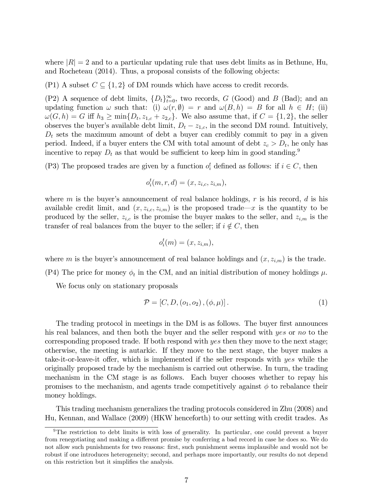where  $|R|=2$  and to a particular updating rule that uses debt limits as in Bethune, Hu, and Rocheteau (2014). Thus, a proposal consists of the following objects:

(P1) A subset  $C \subseteq \{1, 2\}$  of DM rounds which have access to credit records.

(P2) A sequence of debt limits,  $\{D_t\}_{t=0}^{\infty}$ , two records,  $G$  (Good) and  $B$  (Bad); and an updating function  $\omega$  such that: (i)  $\omega(r, \emptyset) = r$  and  $\omega(B, h) = B$  for all  $h \in H$ ; (ii)  $\omega(G, h) = G$  iff  $h_3 \ge \min\{D_t, z_{1,c} + z_{2,c}\}\$ . We also assume that, if  $C = \{1, 2\}$ , the seller observes the buyer's available debt limit,  $D_t - z_{1,c}$ , in the second DM round. Intuitively,  $D_t$  sets the maximum amount of debt a buyer can credibly commit to pay in a given period. Indeed, if a buyer enters the CM with total amount of debt  $z_c > D_t$ , he only has incentive to repay  $D_t$  as that would be sufficient to keep him in good standing.<sup>9</sup>

(P3) The proposed trades are given by a function  $o_i^t$  defined as follows: if  $i \in C$ , then

$$
o_i^t(m,r,d) = (x, z_{i,c}, z_{i,m}),
$$

where m is the buyer's announcement of real balance holdings,  $r$  is his record,  $d$  is his available credit limit, and  $(x, z_{i,c}, z_{i,m})$  is the proposed trade—x is the quantity to be produced by the seller,  $z_{i,c}$  is the promise the buyer makes to the seller, and  $z_{i,m}$  is the transfer of real balances from the buyer to the seller; if  $i \notin C$ , then

$$
o_i^t(m) = (x, z_{i,m}),
$$

where m is the buyer's announcement of real balance holdings and  $(x, z_{i,m})$  is the trade.

(P4) The price for money  $\phi_t$  in the CM, and an initial distribution of money holdings  $\mu$ .

We focus only on stationary proposals

$$
\mathcal{P} = [C, D, (o_1, o_2), (\phi, \mu)].
$$
\n(1)

The trading protocol in meetings in the DM is as follows. The buyer first announces his real balances, and then both the buyer and the seller respond with yes or no to the corresponding proposed trade. If both respond with yes then they move to the next stage; otherwise, the meeting is autarkic. If they move to the next stage, the buyer makes a take-it-or-leave-it offer, which is implemented if the seller responds with  $yes$  while the originally proposed trade by the mechanism is carried out otherwise. In turn, the trading mechanism in the CM stage is as follows. Each buyer chooses whether to repay his promises to the mechanism, and agents trade competitively against  $\phi$  to rebalance their money holdings.

This trading mechanism generalizes the trading protocols considered in Zhu (2008) and Hu, Kennan, and Wallace (2009) (HKW henceforth) to our setting with credit trades. As

 $9$ The restriction to debt limits is with loss of generality. In particular, one could prevent a buyer from renegotiating and making a different promise by conferring a bad record in case he does so. We do not allow such punishments for two reasons: first, such punishment seems implausible and would not be robust if one introduces heterogeneity; second, and perhaps more importantly, our results do not depend on this restriction but it simplifies the analysis.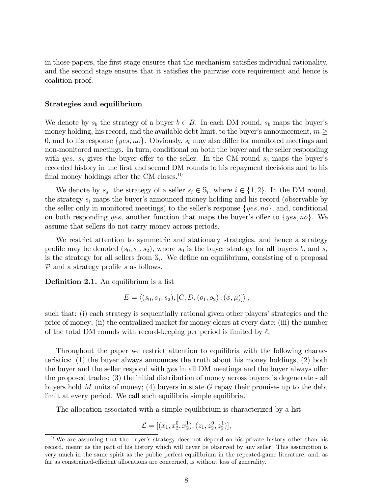in those papers, the first stage ensures that the mechanism satisfies individual rationality, and the second stage ensures that it satisfies the pairwise core requirement and hence is coalition-proof.

### Strategies and equilibrium

We denote by  $s_b$  the strategy of a buyer  $b \in B$ . In each DM round,  $s_b$  maps the buyer's money holding, his record, and the available debt limit, to the buyer's announcement,  $m \geq$ 0, and to his response  $\{yes, no\}$ . Obviously,  $s_b$  may also differ for monitored meetings and non-monitored meetings. In turn, conditional on both the buyer and the seller responding with yes,  $s_b$  gives the buyer offer to the seller. In the CM round  $s_b$  maps the buyer's recorded history in the first and second DM rounds to his repayment decisions and to his final money holdings after the CM closes.<sup>10</sup>

We denote by  $s_{s_i}$  the strategy of a seller  $s_i \in \mathbb{S}_i$ , where  $i \in \{1,2\}$ . In the DM round, the strategy  $s_i$  maps the buyer's announced money holding and his record (observable by the seller only in monitored meetings) to the seller's response  $\{yes, no\}$ , and, conditional on both responding yes, another function that maps the buyer's offer to  $\{yes, no\}$ . We assume that sellers do not carry money across periods.

We restrict attention to symmetric and stationary strategies, and hence a strategy profile may be denoted  $(s_0, s_1, s_2)$ , where  $s_0$  is the buyer strategy for all buyers b, and  $s_i$ is the strategy for all sellers from  $\mathbb{S}_i$ . We define an equilibrium, consisting of a proposal  $\mathcal P$  and a strategy profile s as follows.

**Definition 2.1.** An equilibrium is a list

$$
E = \langle (s_0, s_1, s_2), [C, D, (o_1, o_2), (\phi, \mu)] \rangle,
$$

such that: (i) each strategy is sequentially rational given other players' strategies and the price of money; (ii) the centralized market for money clears at every date; (iii) the number of the total DM rounds with record-keeping per period is limited by  $\ell$ .

Throughout the paper we restrict attention to equilibria with the following characteristics: (1) the buyer always announces the truth about his money holdings, (2) both the buyer and the seller respond with  $yes$  in all DM meetings and the buyer always offer the proposed trades; (3) the initial distribution of money across buyers is degenerate - all buyers hold M units of money; (4) buyers in state G repay their promises up to the debt limit at every period. We call such equilibria simple equilibria.

The allocation associated with a simple equilibrium is characterized by a list

$$
\mathcal{L} = [(x_1, x_2^0, x_2^1), (z_1, z_2^0, z_2^1)],
$$

 $10\,\text{We}$  are assuming that the buyer's strategy does not depend on his private history other than his record, meant as the part of his history which will never be observed by any seller. This assumption is very much in the same spirit as the public perfect equilibrium in the repeated-game literature, and, as far as constrained-efficient allocations are concerned, is without loss of generality.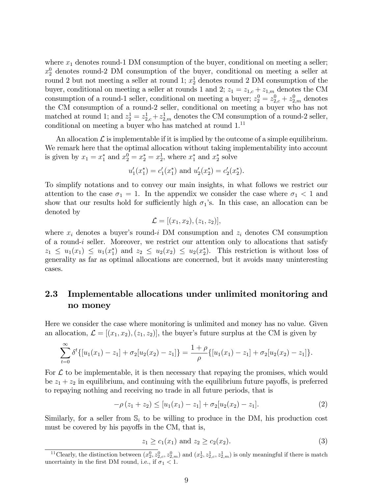where  $x_1$  denotes round-1 DM consumption of the buyer, conditional on meeting a seller;  $x_2^0$  denotes round-2 DM consumption of the buyer, conditional on meeting a seller at round 2 but not meeting a seller at round 1;  $x_2^1$  denotes round 2 DM consumption of the buyer, conditional on meeting a seller at rounds 1 and 2;  $z_1 = z_{1,c} + z_{1,m}$  denotes the CM consumption of a round-1 seller, conditional on meeting a buyer;  $z_2^0 = z_{2,c}^0 + z_{2,m}^0$  denotes the CM consumption of a round-2 seller, conditional on meeting a buyer who has not matched at round 1; and  $z_2^1 = z_{2,c}^1 + z_{2,m}^1$  denotes the CM consumption of a round-2 seller, conditional on meeting a buyer who has matched at round 1.<sup>11</sup>

An allocation  $\mathcal L$  is implementable if it is implied by the outcome of a simple equilibrium. We remark here that the optimal allocation without taking implementability into account is given by  $x_1 = x_1^*$  and  $x_2^0 = x_2^* = x_2^1$ , where  $x_1^*$  and  $x_2^*$  solve

$$
u'_1(x_1^*) = c'_1(x_1^*)
$$
 and  $u'_2(x_2^*) = c'_2(x_2^*).$ 

To simplify notations and to convey our main insights, in what follows we restrict our attention to the case  $\sigma_1 = 1$ . In the appendix we consider the case where  $\sigma_1 < 1$  and show that our results hold for sufficiently high  $\sigma_1$ 's. In this case, an allocation can be denoted by

$$
\mathcal{L} = [(x_1, x_2), (z_1, z_2)],
$$

where  $x_i$  denotes a buyer's round-i DM consumption and  $z_i$  denotes CM consumption of a round-i seller. Moreover, we restrict our attention only to allocations that satisfy  $z_1 \leq u_1(x_1) \leq u_1(x_1^*)$  and  $z_2 \leq u_2(x_2) \leq u_2(x_2^*)$ . This restriction is without loss of generality as far as optimal allocations are concerned, but it avoids many uninteresting cases.

## 2.3 Implementable allocations under unlimited monitoring and no money

Here we consider the case where monitoring is unlimited and money has no value. Given an allocation,  $\mathcal{L} = [(x_1, x_2), (z_1, z_2)]$ , the buyer's future surplus at the CM is given by

$$
\sum_{t=0}^{\infty} \delta^t \{ [u_1(x_1) - z_1] + \sigma_2 [u_2(x_2) - z_1] \} = \frac{1+\rho}{\rho} \{ [u_1(x_1) - z_1] + \sigma_2 [u_2(x_2) - z_1] \}.
$$

For  $\mathcal L$  to be implementable, it is then necessary that repaying the promises, which would be  $z_1 + z_2$  in equilibrium, and continuing with the equilibrium future payoffs, is preferred to repaying nothing and receiving no trade in all future periods, that is

$$
-\rho(z_1 + z_2) \le [u_1(x_1) - z_1] + \sigma_2[u_2(x_2) - z_1].
$$
\n(2)

Similarly, for a seller from  $\mathbb{S}_i$  to be willing to produce in the DM, his production cost must be covered by his payoffs in the CM, that is,

$$
z_1 \ge c_1(x_1)
$$
 and  $z_2 \ge c_2(x_2)$ . (3)

<sup>&</sup>lt;sup>11</sup>Clearly, the distinction between  $(x_2^0, z_{2,c}^0, z_{2,m}^0)$  and  $(x_2^1, z_{2,c}^1, z_{2,m}^1)$  is only meaningful if there is match uncertainty in the first DM round, i.e., if  $\sigma_1 < 1$ .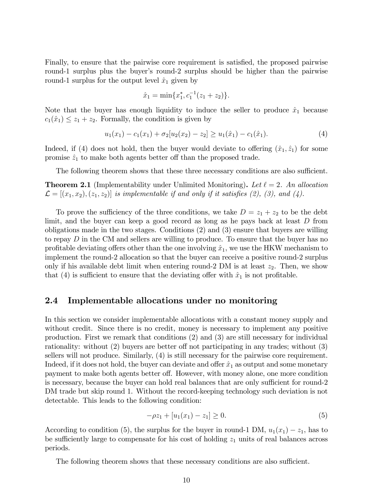Finally, to ensure that the pairwise core requirement is satisfied, the proposed pairwise round-1 surplus plus the buyer's round-2 surplus should be higher than the pairwise round-1 surplus for the output level  $\hat{x}_1$  given by

$$
\hat{x}_1 = \min\{x_1^*, c_1^{-1}(z_1 + z_2)\}.
$$

Note that the buyer has enough liquidity to induce the seller to produce  $\hat{x}_1$  because  $c_1(\hat{x}_1) \leq z_1 + z_2$ . Formally, the condition is given by

$$
u_1(x_1) - c_1(x_1) + \sigma_2[u_2(x_2) - z_2] \ge u_1(\hat{x}_1) - c_1(\hat{x}_1). \tag{4}
$$

Indeed, if (4) does not hold, then the buyer would deviate to offering  $(\hat{x}_1, \hat{z}_1)$  for some promise  $\hat{z}_1$  to make both agents better off than the proposed trade.

The following theorem shows that these three necessary conditions are also sufficient.

**Theorem 2.1** (Implementability under Unlimited Monitoring). Let  $\ell = 2$ . An allocation  $\mathcal{L} = [(x_1, x_2), (z_1, z_2)]$  is implementable if and only if it satisfies (2), (3), and (4).

To prove the sufficiency of the three conditions, we take  $D = z_1 + z_2$  to be the debt limit, and the buyer can keep a good record as long as he pays back at least D from obligations made in the two stages. Conditions (2) and (3) ensure that buyers are willing to repay  $D$  in the CM and sellers are willing to produce. To ensure that the buyer has no profitable deviating offers other than the one involving  $\hat{x}_1$ , we use the HKW mechanism to implement the round-2 allocation so that the buyer can receive a positive round-2 surplus only if his available debt limit when entering round-2 DM is at least  $z_2$ . Then, we show that (4) is sufficient to ensure that the deviating offer with  $\hat{x}_1$  is not profitable.

### 2.4 Implementable allocations under no monitoring

In this section we consider implementable allocations with a constant money supply and without credit. Since there is no credit, money is necessary to implement any positive production. First we remark that conditions (2) and (3) are still necessary for individual rationality: without  $(2)$  buyers are better off not participating in any trades; without  $(3)$ sellers will not produce. Similarly, (4) is still necessary for the pairwise core requirement. Indeed, if it does not hold, the buyer can deviate and offer  $\hat{x}_1$  as output and some monetary payment to make both agents better off. However, with money alone, one more condition is necessary, because the buyer can hold real balances that are only sufficient for round-2 DM trade but skip round 1. Without the record-keeping technology such deviation is not detectable. This leads to the following condition:

$$
-\rho z_1 + [u_1(x_1) - z_1] \ge 0. \tag{5}
$$

According to condition (5), the surplus for the buyer in round-1 DM,  $u_1(x_1) - z_1$ , has to be sufficiently large to compensate for his cost of holding  $z<sub>1</sub>$  units of real balances across periods.

The following theorem shows that these necessary conditions are also sufficient.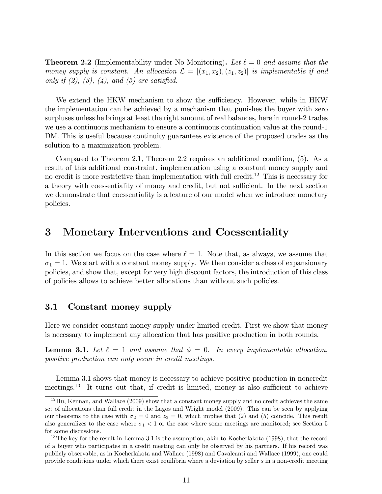**Theorem 2.2** (Implementability under No Monitoring). Let  $\ell = 0$  and assume that the money supply is constant. An allocation  $\mathcal{L} = [(x_1, x_2), (z_1, z_2)]$  is implementable if and only if  $(2)$ ,  $(3)$ ,  $(4)$ , and  $(5)$  are satisfied.

We extend the HKW mechanism to show the sufficiency. However, while in HKW the implementation can be achieved by a mechanism that punishes the buyer with zero surpluses unless he brings at least the right amount of real balances, here in round-2 trades we use a continuous mechanism to ensure a continuous continuation value at the round-1 DM. This is useful because continuity guarantees existence of the proposed trades as the solution to a maximization problem.

Compared to Theorem 2.1, Theorem 2.2 requires an additional condition, (5). As a result of this additional constraint, implementation using a constant money supply and no credit is more restrictive than implementation with full credit.<sup>12</sup> This is necessary for a theory with coessentiality of money and credit, but not sufficient. In the next section we demonstrate that coessentiality is a feature of our model when we introduce monetary policies.

## 3 Monetary Interventions and Coessentiality

In this section we focus on the case where  $\ell = 1$ . Note that, as always, we assume that  $\sigma_1 = 1$ . We start with a constant money supply. We then consider a class of expansionary policies, and show that, except for very high discount factors, the introduction of this class of policies allows to achieve better allocations than without such policies.

## 3.1 Constant money supply

Here we consider constant money supply under limited credit. First we show that money is necessary to implement any allocation that has positive production in both rounds.

**Lemma 3.1.** Let  $\ell = 1$  and assume that  $\phi = 0$ . In every implementable allocation, positive production can only occur in credit meetings.

Lemma 3.1 shows that money is necessary to achieve positive production in noncredit meetings.<sup>13</sup> It turns out that, if credit is limited, money is also sufficient to achieve

 $12$ Hu, Kennan, and Wallace (2009) show that a constant money supply and no credit achieves the same set of allocations than full credit in the Lagos and Wright model (2009). This can be seen by applying our theorems to the case with  $\sigma_2 = 0$  and  $z_2 = 0$ , which implies that (2) and (5) coincide. This result also generalizes to the case where  $\sigma_1 < 1$  or the case where some meetings are monitored; see Section 5 for some discussions.

 $13$ The key for the result in Lemma 3.1 is the assumption, akin to Kocherlakota (1998), that the record of a buyer who participates in a credit meeting can only be observed by his partners. If his record was publicly observable, as in Kocherlakota and Wallace (1998) and Cavalcanti and Wallace (1999), one could provide conditions under which there exist equilibria where a deviation by seller s in a non-credit meeting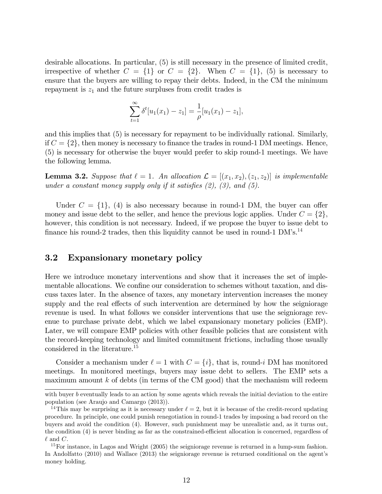desirable allocations. In particular, (5) is still necessary in the presence of limited credit, irrespective of whether  $C = \{1\}$  or  $C = \{2\}$ . When  $C = \{1\}$ , (5) is necessary to ensure that the buyers are willing to repay their debts. Indeed, in the CM the minimum repayment is  $z_1$  and the future surpluses from credit trades is

$$
\sum_{t=1}^{\infty} \delta^t [u_1(x_1) - z_1] = \frac{1}{\rho} [u_1(x_1) - z_1],
$$

and this implies that (5) is necessary for repayment to be individually rational. Similarly, if  $C = \{2\}$ , then money is necessary to finance the trades in round-1 DM meetings. Hence, (5) is necessary for otherwise the buyer would prefer to skip round-1 meetings. We have the following lemma.

**Lemma 3.2.** Suppose that  $\ell = 1$ . An allocation  $\mathcal{L} = [(x_1, x_2), (z_1, z_2)]$  is implementable under a constant money supply only if it satisfies  $(2)$ ,  $(3)$ , and  $(5)$ .

Under  $C = \{1\}$ , (4) is also necessary because in round-1 DM, the buyer can offer money and issue debt to the seller, and hence the previous logic applies. Under  $C = \{2\}$ , however, this condition is not necessary. Indeed, if we propose the buyer to issue debt to finance his round-2 trades, then this liquidity cannot be used in round-1  $DM$ 's.<sup>14</sup>

## 3.2 Expansionary monetary policy

Here we introduce monetary interventions and show that it increases the set of implementable allocations. We confine our consideration to schemes without taxation, and discuss taxes later. In the absence of taxes, any monetary intervention increases the money supply and the real effects of such intervention are determined by how the seigniorage revenue is used. In what follows we consider interventions that use the seigniorage revenue to purchase private debt, which we label expansionary monetary policies (EMP). Later, we will compare EMP policies with other feasible policies that are consistent with the record-keeping technology and limited commitment frictions, including those usually considered in the literature.<sup>15</sup>

Consider a mechanism under  $\ell = 1$  with  $C = \{i\}$ , that is, round-i DM has monitored meetings. In monitored meetings, buyers may issue debt to sellers. The EMP sets a maximum amount  $k$  of debts (in terms of the CM good) that the mechanism will redeem

with buyer b eventually leads to an action by some agents which reveals the initial deviation to the entire population (see Araujo and Camargo (2013)).

<sup>&</sup>lt;sup>14</sup>This may be surprising as it is necessary under  $\ell = 2$ , but it is because of the credit-record updating procedure. In principle, one could punish renegotiation in round-1 trades by imposing a bad record on the buyers and avoid the condition (4). However, such punishment may be unrealistic and, as it turns out, the condition (4) is never binding as far as the constrained-efficient allocation is concerned, regardless of  $\ell$  and C.

 $15$  For instance, in Lagos and Wright (2005) the seigniorage revenue is returned in a lump-sum fashion. In Andolfatto (2010) and Wallace (2013) the seigniorage revenue is returned conditional on the agent's money holding.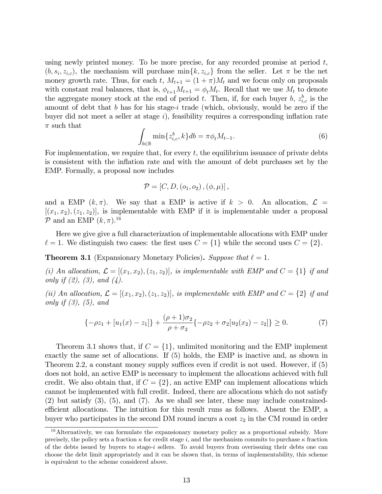using newly printed money. To be more precise, for any recorded promise at period  $t$ ,  $(b, s_i, z_{i,c})$ , the mechanism will purchase min $\{k, z_{i,c}\}$  from the seller. Let  $\pi$  be the net money growth rate. Thus, for each t,  $M_{t+1} = (1 + \pi)M_t$  and we focus only on proposals with constant real balances, that is,  $\phi_{t+1}M_{t+1} = \phi_tM_t$ . Recall that we use  $M_t$  to denote the aggregate money stock at the end of period t. Then, if, for each buyer b,  $z_{i,c}^b$  is the amount of debt that b has for his stage-i trade (which, obviously, would be zero if the buyer did not meet a seller at stage  $i$ ), feasibility requires a corresponding inflation rate  $\pi$  such that

$$
\int_{b \in \mathbb{B}} \min \{ z_{i,c}^b, k \} db = \pi \phi_t M_{t-1}.
$$
\n(6)

For implementation, we require that, for every  $t$ , the equilibrium issuance of private debts is consistent with the inflation rate and with the amount of debt purchases set by the EMP. Formally, a proposal now includes

$$
P = [C, D, (o_1, o_2), (\phi, \mu)],
$$

and a EMP  $(k, \pi)$ . We say that a EMP is active if  $k > 0$ . An allocation,  $\mathcal{L} =$  $[(x_1,x_2),(z_1,z_2)]$ , is implementable with EMP if it is implementable under a proposal  $P$  and an EMP  $(k, \pi)$ .<sup>16</sup>

Here we give give a full characterization of implementable allocations with EMP under  $\ell = 1$ . We distinguish two cases: the first uses  $C = \{1\}$  while the second uses  $C = \{2\}$ .

**Theorem 3.1** (Expansionary Monetary Policies). Suppose that  $\ell = 1$ .

(i) An allocation,  $\mathcal{L} = [(x_1, x_2), (z_1, z_2)]$ , is implementable with EMP and  $C = \{1\}$  if and only if  $(2)$ ,  $(3)$ , and  $(4)$ .

(ii) An allocation,  $\mathcal{L} = [(x_1, x_2), (z_1, z_2)]$ , is implementable with EMP and  $C = \{2\}$  if and only if  $(3)$ ,  $(5)$ , and

$$
\{-\rho z_1 + [u_1(x) - z_1]\} + \frac{(\rho + 1)\sigma_2}{\rho + \sigma_2} \{-\rho z_2 + \sigma_2[u_2(x_2) - z_2]\} \ge 0.
$$
 (7)

Theorem 3.1 shows that, if  $C = \{1\}$ , unlimited monitoring and the EMP implement exactly the same set of allocations. If (5) holds, the EMP is inactive and, as shown in Theorem 2.2, a constant money supply suffices even if credit is not used. However, if  $(5)$ does not hold, an active EMP is necessary to implement the allocations achieved with full credit. We also obtain that, if  $C = \{2\}$ , an active EMP can implement allocations which cannot be implemented with full credit. Indeed, there are allocations which do not satisfy (2) but satisfy (3), (5), and (7). As we shall see later, these may include constrainedefficient allocations. The intuition for this result runs as follows. Absent the EMP, a buyer who participates in the second DM round incurs a cost  $z_2$  in the CM round in order

<sup>&</sup>lt;sup>16</sup>Alternatively, we can formulate the expansionary monetary policy as a proportional subsidy. More precisely, the policy sets a fraction  $\kappa$  for credit stage i, and the mechanism commits to purchase  $\kappa$  fraction of the debts issued by buyers to stage-i sellers. To avoid buyers from overissuing their debts one can choose the debt limit appropriately and it can be shown that, in terms of implementability, this scheme is equivalent to the scheme considered above.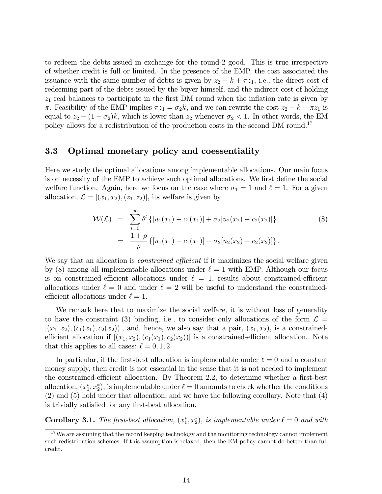to redeem the debts issued in exchange for the round-2 good. This is true irrespective of whether credit is full or limited. In the presence of the EMP, the cost associated the issuance with the same number of debts is given by  $z_2 - k + \pi z_1$ , i.e., the direct cost of redeeming part of the debts issued by the buyer himself, and the indirect cost of holding  $z<sub>1</sub>$  real balances to participate in the first DM round when the inflation rate is given by  $\pi$ . Feasibility of the EMP implies  $\pi z_1 = \sigma_2 k$ , and we can rewrite the cost  $z_2 - k + \pi z_1$  is equal to  $z_2 - (1 - \sigma_2)k$ , which is lower than  $z_2$  whenever  $\sigma_2 < 1$ . In other words, the EM policy allows for a redistribution of the production costs in the second DM round.<sup>17</sup>

### 3.3 Optimal monetary policy and coessentiality

Here we study the optimal allocations among implementable allocations. Our main focus is on necessity of the EMP to achieve such optimal allocations. We first define the social welfare function. Again, here we focus on the case where  $\sigma_1 = 1$  and  $\ell = 1$ . For a given allocation,  $\mathcal{L} = [(x_1, x_2), (z_1, z_2)]$ , its welfare is given by

$$
\mathcal{W}(\mathcal{L}) = \sum_{t=0}^{\infty} \delta^t \left\{ [u_1(x_1) - c_1(x_1)] + \sigma_2 [u_2(x_2) - c_2(x_2)] \right\} \n= \frac{1+\rho}{\rho} \left\{ [u_1(x_1) - c_1(x_1)] + \sigma_2 [u_2(x_2) - c_2(x_2)] \right\}.
$$
\n(8)

We say that an allocation is *constrained efficient* if it maximizes the social welfare given by (8) among all implementable allocations under  $\ell = 1$  with EMP. Although our focus is on constrained-efficient allocations under  $\ell = 1$ , results about constrained-efficient allocations under  $\ell = 0$  and under  $\ell = 2$  will be useful to understand the constrainedefficient allocations under  $\ell = 1$ .

We remark here that to maximize the social welfare, it is without loss of generality to have the constraint (3) binding, i.e., to consider only allocations of the form  $\mathcal{L} =$  $[(x_1,x_2),(c_1(x_1),c_2(x_2))]$ , and, hence, we also say that a pair,  $(x_1,x_2)$ , is a constrainedefficient allocation if  $[(x_1, x_2), (c_1(x_1), c_2(x_2))]$  is a constrained-efficient allocation. Note that this applies to all cases:  $\ell = 0, 1, 2$ .

In particular, if the first-best allocation is implementable under  $\ell = 0$  and a constant money supply, then credit is not essential in the sense that it is not needed to implement the constrained-efficient allocation. By Theorem 2.2, to determine whether a first-best allocation,  $(x_1^*, x_2^*)$ , is implementable under  $\ell = 0$  amounts to check whether the conditions (2) and (5) hold under that allocation, and we have the following corollary. Note that (4) is trivially satisfied for any first-best allocation.

**Corollary 3.1.** The first-best allocation,  $(x_1^*, x_2^*)$ , is implementable under  $\ell = 0$  and with

<sup>&</sup>lt;sup>17</sup>We are assuming that the record keeping technology and the monitoring technology cannot implement such redistribution schemes. If this assumption is relaxed, then the EM policy cannot do better than full credit.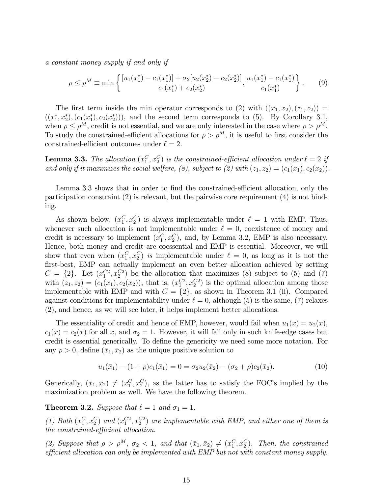a constant money supply if and only if

$$
\rho \le \rho^M \equiv \min \left\{ \frac{[u_1(x_1^*) - c_1(x_1^*)] + \sigma_2[u_2(x_2^*) - c_2(x_2^*)]}{c_1(x_1^*) + c_2(x_2^*)}, \frac{u_1(x_1^*) - c_1(x_1^*)}{c_1(x_1^*)} \right\}.
$$
(9)

The first term inside the min operator corresponds to (2) with  $((x_1, x_2), (z_1, z_2)) =$  $((x_1^*, x_2^*), (c_1(x_1^*), c_2(x_2^*))),$  and the second term corresponds to (5). By Corollary 3.1, when  $\rho \leq \rho^M$ , credit is not essential, and we are only interested in the case where  $\rho > \rho^M$ . To study the constrained-efficient allocations for  $\rho > \rho^M$ , it is useful to first consider the constrained-efficient outcomes under  $\ell = 2$ .

**Lemma 3.3.** The allocation  $(x_1^C, x_2^C)$  is the constrained-efficient allocation under  $\ell = 2$  if and only if it maximizes the social welfare, (8), subject to (2) with  $(z_1, z_2) = (c_1(x_1), c_2(x_2))$ .

Lemma 3.3 shows that in order to find the constrained-efficient allocation, only the participation constraint (2) is relevant, but the pairwise core requirement (4) is not binding.

As shown below,  $(x_1^C, x_2^C)$  is always implementable under  $\ell = 1$  with EMP. Thus, whenever such allocation is not implementable under  $\ell = 0$ , coexistence of money and credit is necessary to implement  $(x_1^C, x_2^C)$ , and, by Lemma 3.2, EMP is also necessary. Hence, both money and credit are coessential and EMP is essential. Moreover, we will show that even when  $(x_1^C, x_2^C)$  is implementable under  $\ell = 0$ , as long as it is not the first-best, EMP can actually implement an even better allocation achieved by setting  $C = \{2\}$ . Let  $(x_1^{C2}, x_2^{C2})$  be the allocation that maximizes (8) subject to (5) and (7) with  $(z_1, z_2) = (c_1(x_1), c_2(x_2))$ , that is,  $(x_1^{C_2}, x_2^{C_2})$  is the optimal allocation among those implementable with EMP and with  $C = \{2\}$ , as shown in Theorem 3.1 (ii). Compared against conditions for implementability under  $\ell = 0$ , although (5) is the same, (7) relaxes (2), and hence, as we will see later, it helps implement better allocations.

The essentiality of credit and hence of EMP, however, would fail when  $u_1(x) = u_2(x)$ ,  $c_1(x) = c_2(x)$  for all x, and  $\sigma_2 = 1$ . However, it will fail only in such knife-edge cases but credit is essential generically. To define the genericity we need some more notation. For any  $\rho > 0$ , define  $(\bar{x}_1, \bar{x}_2)$  as the unique positive solution to

$$
u_1(\bar{x}_1) - (1+\rho)c_1(\bar{x}_1) = 0 = \sigma_2 u_2(\bar{x}_2) - (\sigma_2 + \rho)c_2(\bar{x}_2).
$$
 (10)

Generically,  $(\bar{x}_1, \bar{x}_2) \neq (x_1^C, x_2^C)$ , as the latter has to satisfy the FOC's implied by the maximization problem as well. We have the following theorem.

**Theorem 3.2.** Suppose that  $\ell = 1$  and  $\sigma_1 = 1$ .

(1) Both  $(x_1^C, x_2^C)$  and  $(x_1^{C_2}, x_2^{C_2})$  are implementable with EMP, and either one of them is  $the\ constrained\text{-}efficient\ allocation.$ 

(2) Suppose that  $\rho > \rho^M$ ,  $\sigma_2 < 1$ , and that  $(\bar{x}_1, \bar{x}_2) \neq (x_1^C, x_2^C)$ . Then, the constrained efficient allocation can only be implemented with EMP but not with constant money supply.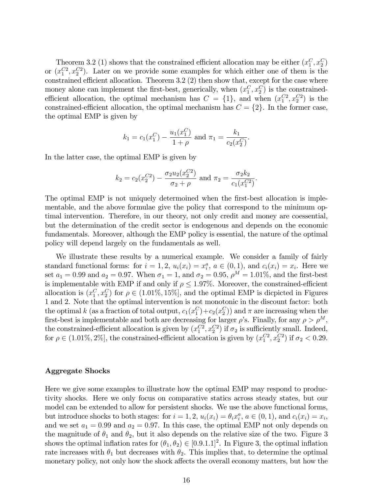Theorem 3.2 (1) shows that the constrained efficient allocation may be either  $(x_1^C, x_2^C)$ or  $(x_1^{C_2}, x_2^{C_2})$ . Later on we provide some examples for which either one of them is the constrained efficient allocation. Theorem  $3.2$  (2) then show that, except for the case where money alone can implement the first-best, generically, when  $(x_1^C, x_2^C)$  is the constrainedefficient allocation, the optimal mechanism has  $C = \{1\}$ , and when  $(x_1^{C2}, x_2^{C2})$  is the constrained-efficient allocation, the optimal mechanism has  $C = \{2\}$ . In the former case, the optimal EMP is given by

$$
k_1 = c_1(x_1^C) - \frac{u_1(x_1^C)}{1+\rho}
$$
 and  $\pi_1 = \frac{k_1}{c_2(x_2^C)}$ .

In the latter case, the optimal EMP is given by

$$
k_2 = c_2(x_2^{C2}) - \frac{\sigma_2 u_2(x_2^{C2})}{\sigma_2 + \rho}
$$
 and  $\pi_2 = \frac{\sigma_2 k_2}{c_1(x_1^{C2})}$ .

The optimal EMP is not uniquely determoined when the first-best allocation is implementable, and the above formulae give the policy that correspond to the minimum optimal intervention. Therefore, in our theory, not only credit and money are coessential, but the determination of the credit sector is endogenous and depends on the economic fundamentals. Moreover, although the EMP policy is essential, the nature of the optimal policy will depend largely on the fundamentals as well.

We illustrate these results by a numerical example. We consider a family of fairly standard functional forms: for  $i = 1, 2, u_i(x_i) = x_i^a$ ,  $a \in (0, 1)$ , and  $c_i(x_i) = x_i$ . Here we set  $a_1 = 0.99$  and  $a_2 = 0.97$ . When  $\sigma_1 = 1$ , and  $\sigma_2 = 0.95$ ,  $\rho^M = 1.01\%$ , and the first-best is implementable with EMP if and only if  $\rho \leq 1.97\%$ . Moreover, the constrained-efficient allocation is  $(x_1^C, x_2^C)$  for  $\rho \in (1.01\%, 15\%]$ , and the optimal EMP is dicpicted in Figures 1 and 2. Note that the optimal intervention is not monotonic in the discount factor: both the optimal k (as a fraction of total output,  $c_1(x_1^C) + c_2(x_2^C)$ ) and  $\pi$  are increasing when the first-best is implementable and both are decreasing for larger  $\rho$ 's. Finally, for any  $\rho > \rho^M$ , the constrained-efficient allocation is given by  $(x_1^{C_2}, x_2^{C_2})$  if  $\sigma_2$  is sufficiently small. Indeed, for  $\rho \in (1.01\%, 2\%)$ , the constrained-efficient allocation is given by  $(x_1^{C2}, x_2^{C2})$  if  $\sigma_2 < 0.29$ .

### Aggregate Shocks

Here we give some examples to illustrate how the optimal EMP may respond to productivity shocks. Here we only focus on comparative statics across steady states, but our model can be extended to allow for persistent shocks. We use the above functional forms, but introduce shocks to both stages: for  $i = 1, 2, u_i(x_i) = \theta_i x_i^a, a \in (0, 1)$ , and  $c_i(x_i) = x_i$ , and we set  $a_1 = 0.99$  and  $a_2 = 0.97$ . In this case, the optimal EMP not only depends on the magnitude of  $\theta_1$  and  $\theta_2$ , but it also depends on the relative size of the two. Figure 3 shows the optimal inflation rates for  $(\theta_1, \theta_2) \in [0.9.1.1]^2$ . In Figure 3, the optimal inflation rate increases with  $\theta_1$  but decreases with  $\theta_2$ . This implies that, to determine the optimal monetary policy, not only how the shock affects the overall economy matters, but how the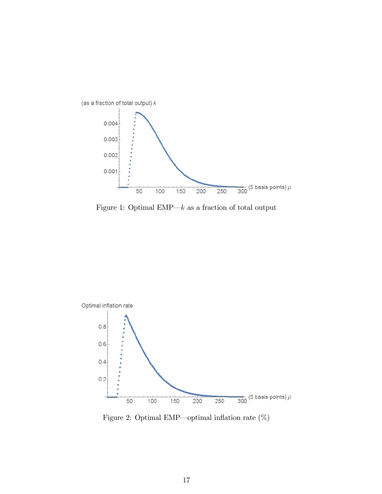

Figure 1: Optimal EMP $\rightarrow k$  as a fraction of total output



Figure 2: Optimal EMP—optimal inflation rate  $(\%)$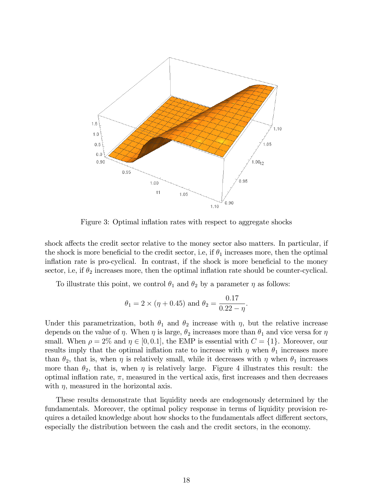

Figure 3: Optimal inflation rates with respect to aggregate shocks

shock affects the credit sector relative to the money sector also matters. In particular, if the shock is more beneficial to the credit sector, i.e, if  $\theta_1$  increases more, then the optimal inflation rate is pro-cyclical. In contrast, if the shock is more beneficial to the money sector, i.e, if  $\theta_2$  increases more, then the optimal inflation rate should be counter-cyclical.

To illustrate this point, we control  $\theta_1$  and  $\theta_2$  by a parameter  $\eta$  as follows:

$$
\theta_1 = 2 \times (\eta + 0.45)
$$
 and  $\theta_2 = \frac{0.17}{0.22 - \eta}$ .

Under this parametrization, both  $\theta_1$  and  $\theta_2$  increase with  $\eta$ , but the relative increase depends on the value of  $\eta$ . When  $\eta$  is large,  $\theta_2$  increases more than  $\theta_1$  and vice versa for  $\eta$ small. When  $\rho = 2\%$  and  $\eta \in [0, 0.1]$ , the EMP is essential with  $C = \{1\}$ . Moreover, our results imply that the optimal inflation rate to increase with  $\eta$  when  $\theta_1$  increases more than  $\theta_2$ , that is, when  $\eta$  is relatively small, while it decreases with  $\eta$  when  $\theta_1$  increases more than  $\theta_2$ , that is, when  $\eta$  is relatively large. Figure 4 illustrates this result: the optimal inflation rate,  $\pi$ , measured in the vertical axis, first increases and then decreases with  $\eta$ , measured in the horizontal axis.

These results demonstrate that liquidity needs are endogenously determined by the fundamentals. Moreover, the optimal policy response in terms of liquidity provision requires a detailed knowledge about how shocks to the fundamentals affect different sectors, especially the distribution between the cash and the credit sectors, in the economy.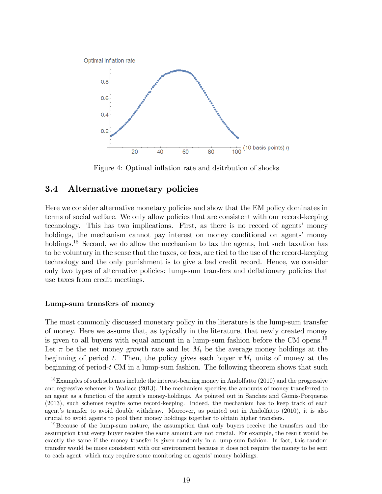

Figure 4: Optimal inflation rate and dsitrbution of shocks

## 3.4 Alternative monetary policies

Here we consider alternative monetary policies and show that the EM policy dominates in terms of social welfare. We only allow policies that are consistent with our record-keeping technology. This has two implications. First, as there is no record of agents' money holdings, the mechanism cannot pay interest on money conditional on agents' money holdings.<sup>18</sup> Second, we do allow the mechanism to tax the agents, but such taxation has to be voluntary in the sense that the taxes, or fees, are tied to the use of the record-keeping technology and the only punishment is to give a bad credit record. Hence, we consider only two types of alternative policies: lump-sum transfers and deáationary policies that use taxes from credit meetings.

### Lump-sum transfers of money

The most commonly discussed monetary policy in the literature is the lump-sum transfer of money. Here we assume that, as typically in the literature, that newly created money is given to all buyers with equal amount in a lump-sum fashion before the CM opens.<sup>19</sup> Let  $\pi$  be the net money growth rate and let  $M_t$  be the average money holdings at the beginning of period t. Then, the policy gives each buyer  $\pi M_t$  units of money at the beginning of period- $t$  CM in a lump-sum fashion. The following theorem shows that such

<sup>&</sup>lt;sup>18</sup>Examples of such schemes include the interest-bearing money in Andolfatto (2010) and the progressive and regressive schemes in Wallace (2013). The mechanism specifies the amounts of money transferred to an agent as a function of the agent's money-holdings. As pointed out in Sanches and Gomis-Porqueras (2013), such schemes require some record-keeping. Indeed, the mechanism has to keep track of each agent's transfer to avoid double withdraw. Moreover, as pointed out in Andolfatto (2010), it is also crucial to avoid agents to pool their money holdings together to obtain higher transfers.

<sup>&</sup>lt;sup>19</sup>Because of the lump-sum nature, the assumption that only buyers receive the transfers and the assumption that every buyer receive the same amount are not crucial. For example, the result would be exactly the same if the money transfer is given randomly in a lump-sum fashion. In fact, this random transfer would be more consistent with our environment because it does not require the money to be sent to each agent, which may require some monitoring on agents' money holdings.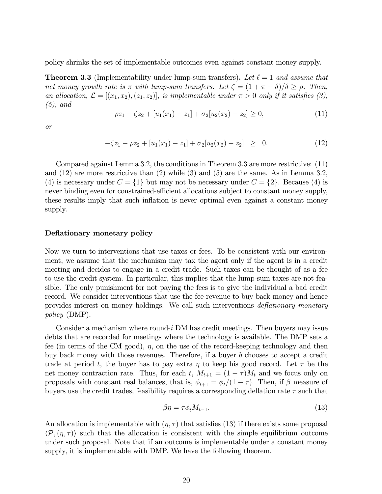policy shrinks the set of implementable outcomes even against constant money supply.

**Theorem 3.3** (Implementability under lump-sum transfers). Let  $\ell = 1$  and assume that net money growth rate is  $\pi$  with lump-sum transfers. Let  $\zeta = (1 + \pi - \delta)/\delta \ge \rho$ . Then, an allocation,  $\mathcal{L} = [(x_1, x_2), (z_1, z_2)]$ , is implementable under  $\pi > 0$  only if it satisfies (3),  $(5)$ , and

$$
-\rho z_1 - \zeta z_2 + [u_1(x_1) - z_1] + \sigma_2[u_2(x_2) - z_2] \ge 0,
$$
\n(11)

or

$$
-\zeta z_1 - \rho z_2 + [u_1(x_1) - z_1] + \sigma_2[u_2(x_2) - z_2] \geq 0. \tag{12}
$$

Compared against Lemma 3.2, the conditions in Theorem 3.3 are more restrictive: (11) and (12) are more restrictive than (2) while (3) and (5) are the same. As in Lemma 3.2, (4) is necessary under  $C = \{1\}$  but may not be necessary under  $C = \{2\}$ . Because (4) is never binding even for constrained-efficient allocations subject to constant money supply, these results imply that such inflation is never optimal even against a constant money supply.

### Deflationary monetary policy

Now we turn to interventions that use taxes or fees. To be consistent with our environment, we assume that the mechanism may tax the agent only if the agent is in a credit meeting and decides to engage in a credit trade. Such taxes can be thought of as a fee to use the credit system. In particular, this implies that the lump-sum taxes are not feasible. The only punishment for not paying the fees is to give the individual a bad credit record. We consider interventions that use the fee revenue to buy back money and hence provides interest on money holdings. We call such interventions *deflationary monetary* policy (DMP).

Consider a mechanism where round-i DM has credit meetings. Then buyers may issue debts that are recorded for meetings where the technology is available. The DMP sets a fee (in terms of the CM good),  $\eta$ , on the use of the record-keeping technology and then buy back money with those revenues. Therefore, if a buyer b chooses to accept a credit trade at period t, the buyer has to pay extra  $\eta$  to keep his good record. Let  $\tau$  be the net money contraction rate. Thus, for each t,  $M_{t+1} = (1 - \tau)M_t$  and we focus only on proposals with constant real balances, that is,  $\phi_{t+1} = \phi_t/(1 - \tau)$ . Then, if  $\beta$  measure of buyers use the credit trades, feasibility requires a corresponding deflation rate  $\tau$  such that

$$
\beta \eta = \tau \phi_t M_{t-1}.\tag{13}
$$

An allocation is implementable with  $(\eta, \tau)$  that satisfies (13) if there exists some proposal  $\langle \mathcal{P}, (\eta, \tau) \rangle$  such that the allocation is consistent with the simple equilibrium outcome under such proposal. Note that if an outcome is implementable under a constant money supply, it is implementable with DMP. We have the following theorem.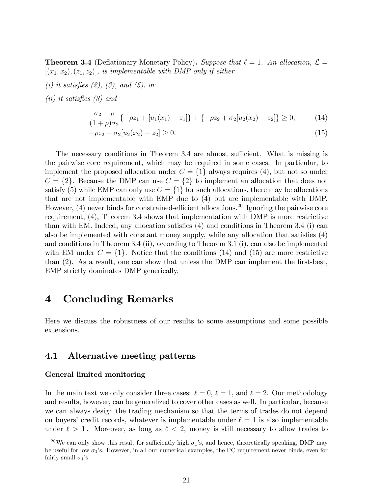**Theorem 3.4** (Deflationary Monetary Policy). Suppose that  $\ell = 1$ . An allocation,  $\mathcal{L} =$  $[(x_1,x_2),(z_1,z_2)]$ , is implementable with DMP only if either

- (i) it satisfies  $(2)$ ,  $(3)$ , and  $(5)$ , or
- (*ii*) it satisfies  $(3)$  and

$$
\frac{\sigma_2 + \rho}{(1+\rho)\sigma_2} \{-\rho z_1 + [u_1(x_1) - z_1] \} + \{-\rho z_2 + \sigma_2 [u_2(x_2) - z_2] \} \ge 0,
$$
\n(14)

$$
-\rho z_2 + \sigma_2[u_2(x_2) - z_2] \ge 0. \tag{15}
$$

The necessary conditions in Theorem 3.4 are almost sufficient. What is missing is the pairwise core requirement, which may be required in some cases. In particular, to implement the proposed allocation under  $C = \{1\}$  always requires (4), but not so under  $C = \{2\}$ . Because the DMP can use  $C = \{2\}$  to implement an allocation that does not satisfy (5) while EMP can only use  $C = \{1\}$  for such allocations, there may be allocations that are not implementable with EMP due to (4) but are implementable with DMP. However,  $(4)$  never binds for constrained-efficient allocations.<sup>20</sup> Ignoring the pairwise core requirement, (4), Theorem 3.4 shows that implementation with DMP is more restrictive than with EM. Indeed, any allocation satisfies  $(4)$  and conditions in Theorem 3.4 (i) can also be implemented with constant money supply, while any allocation that satisfies  $(4)$ and conditions in Theorem 3.4 (ii), according to Theorem 3.1 (i), can also be implemented with EM under  $C = \{1\}$ . Notice that the conditions (14) and (15) are more restrictive than  $(2)$ . As a result, one can show that unless the DMP can implement the first-best, EMP strictly dominates DMP generically.

## 4 Concluding Remarks

Here we discuss the robustness of our results to some assumptions and some possible extensions.

## 4.1 Alternative meeting patterns

### General limited monitoring

In the main text we only consider three cases:  $\ell = 0, \ell = 1$ , and  $\ell = 2$ . Our methodology and results, however, can be generalized to cover other cases as well. In particular, because we can always design the trading mechanism so that the terms of trades do not depend on buyers' credit records, whatever is implementable under  $\ell = 1$  is also implementable under  $\ell > 1$ . Moreover, as long as  $\ell < 2$ , money is still necessary to allow trades to

<sup>&</sup>lt;sup>20</sup>We can only show this result for sufficiently high  $\sigma_1$ 's, and hence, theoretically speaking, DMP may be useful for low  $\sigma_1$ 's. However, in all our numerical examples, the PC requirement never binds, even for fairly small  $\sigma_1$ 's.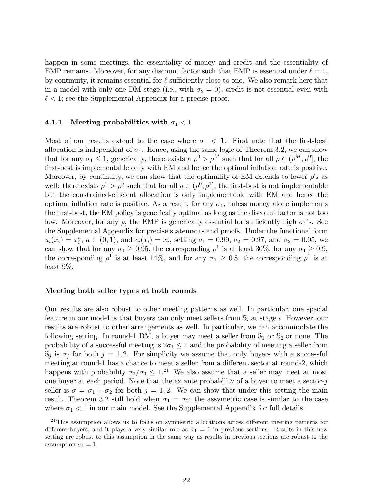happen in some meetings, the essentiality of money and credit and the essentiality of EMP remains. Moreover, for any discount factor such that EMP is essential under  $\ell = 1$ , by continuity, it remains essential for  $\ell$  sufficiently close to one. We also remark here that in a model with only one DM stage (i.e., with  $\sigma_2 = 0$ ), credit is not essential even with  $\ell < 1$ ; see the Supplemental Appendix for a precise proof.

### 4.1.1 Meeting probabilities with  $\sigma_1 < 1$

Most of our results extend to the case where  $\sigma_1 < 1$ . First note that the first-best allocation is independent of  $\sigma_1$ . Hence, using the same logic of Theorem 3.2, we can show that for any  $\sigma_1 \leq 1$ , generically, there exists a  $\rho^0 > \rho^M$  such that for all  $\rho \in (\rho^M, \rho^0]$ , the first-best is implementable only with EM and hence the optimal inflation rate is positive. Moreover, by continuity, we can show that the optimality of EM extends to lower  $\rho$ 's as well: there exists  $\rho^1 > \rho^0$  such that for all  $\rho \in (\rho^0, \rho^1]$ , the first-best is not implementable but the constrained-efficient allocation is only implementable with EM and hence the optimal inflation rate is positive. As a result, for any  $\sigma_1$ , unless money alone implements the first-best, the EM policy is generically optimal as long as the discount factor is not too low. Moreover, for any  $\rho$ , the EMP is generically essential for sufficiently high  $\sigma_1$ 's. See the Supplemental Appendix for precise statements and proofs. Under the functional form  $u_i(x_i) = x_i^a, a \in (0,1)$ , and  $c_i(x_i) = x_i$ , setting  $a_1 = 0.99, a_2 = 0.97$ , and  $\sigma_2 = 0.95$ , we can show that for any  $\sigma_1 \ge 0.95$ , the corresponding  $\rho^1$  is at least 30%, for any  $\sigma_1 \ge 0.9$ , the corresponding  $\rho^1$  is at least 14%, and for any  $\sigma_1 \geq 0.8$ , the corresponding  $\rho^1$  is at least 9%.

### Meeting both seller types at both rounds

Our results are also robust to other meeting patterns as well. In particular, one special feature in our model is that buyers can only meet sellers from  $\mathbb{S}_i$  at stage i. However, our results are robust to other arrangements as well. In particular, we can accommodate the following setting. In round-1 DM, a buyer may meet a seller from  $\mathbb{S}_1$  or  $\mathbb{S}_2$  or none. The probability of a successful meeting is  $2\sigma_1 \leq 1$  and the probability of meeting a seller from  $\mathbb{S}_j$  is  $\sigma_j$  for both  $j = 1, 2$ . For simplicity we assume that only buyers with a successful meeting at round-1 has a chance to meet a seller from a different sector at round-2, which happens with probability  $\sigma_2/\sigma_1 \leq 1.21$  We also assume that a seller may meet at most one buyer at each period. Note that the ex ante probability of a buyer to meet a sector- $j$ seller is  $\sigma = \sigma_1 + \sigma_2$  for both  $j = 1, 2$ . We can show that under this setting the main result, Theorem 3.2 still hold when  $\sigma_1 = \sigma_2$ ; the assymetric case is similar to the case where  $\sigma_1 < 1$  in our main model. See the Supplemental Appendix for full details.

 $21$ This assumption allows us to focus on symmetric allocations across different meeting patterns for different buyers, and it plays a very similar role as  $\sigma_1 = 1$  in previous sections. Results in this new setting are robust to this assumption in the same way as results in previous sections are robust to the assumption  $\sigma_1 = 1$ .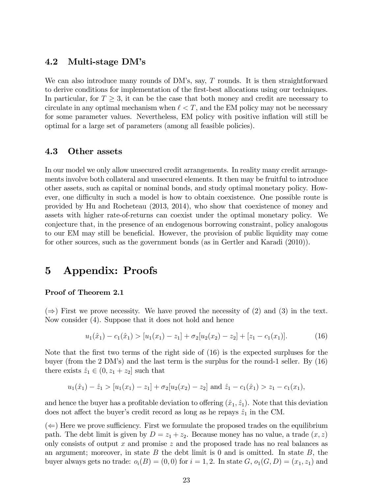## 4.2 Multi-stage DMís

We can also introduce many rounds of  $DM$ 's, say,  $T$  rounds. It is then straightforward to derive conditions for implementation of the first-best allocations using our techniques. In particular, for  $T \geq 3$ , it can be the case that both money and credit are necessary to circulate in any optimal mechanism when  $\ell < T$ , and the EM policy may not be necessary for some parameter values. Nevertheless, EM policy with positive ináation will still be optimal for a large set of parameters (among all feasible policies).

### 4.3 Other assets

In our model we only allow unsecured credit arrangements. In reality many credit arrangements involve both collateral and unsecured elements. It then may be fruitful to introduce other assets, such as capital or nominal bonds, and study optimal monetary policy. However, one difficulty in such a model is how to obtain coexistence. One possible route is provided by Hu and Rocheteau (2013, 2014), who show that coexistence of money and assets with higher rate-of-returns can coexist under the optimal monetary policy. We conjecture that, in the presence of an endogenous borrowing constraint, policy analogous to our EM may still be beneficial. However, the provision of public liquidity may come for other sources, such as the government bonds (as in Gertler and Karadi (2010)).

## 5 Appendix: Proofs

### Proof of Theorem 2.1

 $(\Rightarrow)$  First we prove necessity. We have proved the necessity of (2) and (3) in the text. Now consider (4). Suppose that it does not hold and hence

$$
u_1(\hat{x}_1) - c_1(\hat{x}_1) > [u_1(x_1) - z_1] + \sigma_2[u_2(x_2) - z_2] + [z_1 - c_1(x_1)].
$$
\n(16)

Note that the first two terms of the right side of  $(16)$  is the expected surpluses for the buyer (from the 2 DMís) and the last term is the surplus for the round-1 seller. By (16) there exists  $\hat{z}_1 \in (0, z_1 + z_2]$  such that

$$
u_1(\hat{x}_1) - \hat{z}_1 > [u_1(x_1) - z_1] + \sigma_2[u_2(x_2) - z_2]
$$
 and  $\hat{z}_1 - c_1(\hat{x}_1) > z_1 - c_1(x_1)$ ,

and hence the buyer has a profitable deviation to offering  $(\hat{x}_1, \hat{z}_1)$ . Note that this deviation does not affect the buyer's credit record as long as he repays  $\hat{z}_1$  in the CM.

 $(\Leftarrow)$  Here we prove sufficiency. First we formulate the proposed trades on the equilibrium path. The debt limit is given by  $D = z_1 + z_2$ . Because money has no value, a trade  $(x, z)$ only consists of output  $x$  and promise  $z$  and the proposed trade has no real balances as an argument; moreover, in state  $B$  the debt limit is 0 and is omitted. In state  $B$ , the buyer always gets no trade:  $o_i(B) = (0,0)$  for  $i = 1,2$ . In state  $G, o_1(G, D) = (x_1, z_1)$  and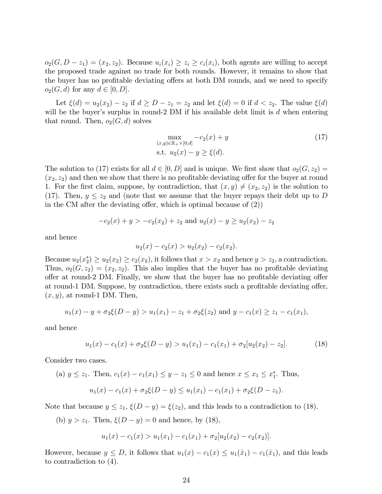$o_2(G, D - z_1) = (x_2, z_2)$ . Because  $u_i(x_i) \geq z_i \geq c_i(x_i)$ , both agents are willing to accept the proposed trade against no trade for both rounds. However, it remains to show that the buyer has no profitable deviating offers at both DM rounds, and we need to specify  $o_2(G, d)$  for any  $d \in [0, D]$ .

Let  $\xi(d) = u_2(x_2) - z_2$  if  $d \ge D - z_1 = z_2$  and let  $\xi(d) = 0$  if  $d < z_2$ . The value  $\xi(d)$ will be the buyer's surplus in round-2 DM if his available debt limit is  $d$  when entering that round. Then,  $o_2(G, d)$  solves

$$
\max_{(x,y)\in\mathbb{R}_+\times[0,d]} -c_2(x) + y
$$
  
s.t.  $u_2(x) - y \ge \xi(d)$ . (17)

The solution to (17) exists for all  $d \in [0, D]$  and is unique. We first show that  $o_2(G, z_2) =$  $(x_2, z_2)$  and then we show that there is no profitable deviating offer for the buyer at round 1. For the first claim, suppose, by contradiction, that  $(x, y) \neq (x_2, z_2)$  is the solution to (17). Then,  $y \le z_2$  and (note that we assume that the buyer repays their debt up to D in the CM after the deviating offer, which is optimal because of  $(2)$ )

$$
-c_2(x) + y > -c_2(x_2) + z_2
$$
 and  $u_2(x) - y \ge u_2(x_2) - z_2$ 

and hence

$$
u_2(x) - c_2(x) > u_2(x_2) - c_2(x_2).
$$

Because  $u_2(x_2^*) \ge u_2(x_2) \ge c_2(x_2)$ , it follows that  $x > x_2$  and hence  $y > z_2$ , a contradiction. Thus,  $o_2(G, z_2) = (x_2, z_2)$ . This also implies that the buyer has no profitable deviating offer at round-2 DM. Finally, we show that the buyer has no profitable deviating offer at round-1 DM. Suppose, by contradiction, there exists such a profitable deviating offer,  $(x, y)$ , at round-1 DM. Then,

$$
u_1(x) - y + \sigma_2\xi(D - y) > u_1(x_1) - z_1 + \sigma_2\xi(z_2)
$$
 and  $y - c_1(x) \ge z_1 - c_1(x_1)$ ,

and hence

$$
u_1(x) - c_1(x) + \sigma_2 \xi(D - y) > u_1(x_1) - c_1(x_1) + \sigma_2[u_2(x_2) - z_2].\tag{18}
$$

Consider two cases.

(a) 
$$
y \le z_1
$$
. Then,  $c_1(x) - c_1(x_1) \le y - z_1 \le 0$  and hence  $x \le x_1 \le x_1^*$ . Thus,

$$
u_1(x) - c_1(x) + \sigma_2 \xi(D - y) \le u_1(x_1) - c_1(x_1) + \sigma_2 \xi(D - z_1).
$$

Note that because  $y \le z_1$ ,  $\xi(D - y) = \xi(z_2)$ , and this leads to a contradiction to (18).

(b)  $y > z_1$ . Then,  $\xi(D - y) = 0$  and hence, by (18),

$$
u_1(x) - c_1(x) > u_1(x_1) - c_1(x_1) + \sigma_2[u_2(x_2) - c_2(x_2)].
$$

However, because  $y \le D$ , it follows that  $u_1(x) - c_1(x) \le u_1(\hat{x}_1) - c_1(\hat{x}_1)$ , and this leads to contradiction to (4).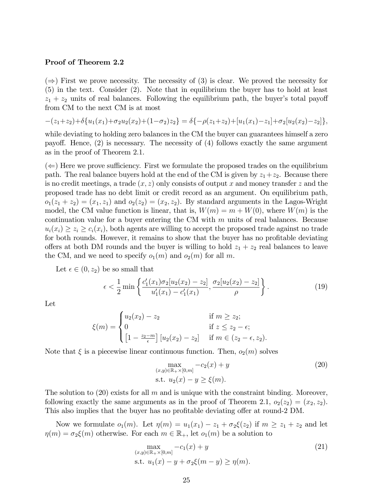#### Proof of Theorem 2.2

 $(\Rightarrow)$  First we prove necessity. The necessity of (3) is clear. We proved the necessity for (5) in the text. Consider (2). Note that in equilibrium the buyer has to hold at least  $z_1 + z_2$  units of real balances. Following the equilibrium path, the buyer's total payoff from CM to the next CM is at most

$$
-(z_1+z_2)+\delta\{u_1(x_1)+\sigma_2u_2(x_2)+(1-\sigma_2)z_2\}=\delta\{-\rho(z_1+z_2)+[u_1(x_1)-z_1]+\sigma_2[u_2(x_2)-z_2]\},\,
$$

while deviating to holding zero balances in the CM the buyer can guarantees himself a zero payoff. Hence,  $(2)$  is necessary. The necessity of  $(4)$  follows exactly the same argument as in the proof of Theorem 2.1.

 $(\Leftarrow)$  Here we prove sufficiency. First we formulate the proposed trades on the equilibrium path. The real balance buyers hold at the end of the CM is given by  $z_1+z_2$ . Because there is no credit meetings, a trade  $(x, z)$  only consists of output x and money transfer z and the proposed trade has no debt limit or credit record as an argument. On equilibrium path,  $o_1(z_1 + z_2) = (x_1, z_1)$  and  $o_2(z_2) = (x_2, z_2)$ . By standard arguments in the Lagos-Wright model, the CM value function is linear, that is,  $W(m) = m + W(0)$ , where  $W(m)$  is the continuation value for a buyer entering the CM with  $m$  units of real balances. Because  $u_i(x_i) \geq z_i \geq c_i(x_i)$ , both agents are willing to accept the proposed trade against no trade for both rounds. However, it remains to show that the buyer has no profitable deviating offers at both DM rounds and the buyer is willing to hold  $z_1 + z_2$  real balances to leave the CM, and we need to specify  $o_1(m)$  and  $o_2(m)$  for all m.

Let  $\epsilon \in (0, z_2)$  be so small that

$$
\epsilon < \frac{1}{2} \min \left\{ \frac{c_1'(x_1)\sigma_2[u_2(x_2) - z_2]}{u_1'(x_1) - c_1'(x_1)}, \frac{\sigma_2[u_2(x_2) - z_2]}{\rho} \right\} . \tag{19}
$$

Let

$$
\xi(m) = \begin{cases} u_2(x_2) - z_2 & \text{if } m \ge z_2; \\ 0 & \text{if } z \le z_2 - \epsilon; \\ \left[1 - \frac{z_2 - m}{\epsilon}\right] [u_2(x_2) - z_2] & \text{if } m \in (z_2 - \epsilon, z_2). \end{cases}
$$

Note that  $\xi$  is a piecewise linear continuous function. Then,  $o_2(m)$  solves

$$
\max_{(x,y)\in\mathbb{R}_+\times[0,m]} -c_2(x) + y
$$
\n
$$
\text{s.t. } u_2(x) - y \ge \xi(m).
$$
\n(20)

The solution to  $(20)$  exists for all m and is unique with the constraint binding. Moreover, following exactly the same arguments as in the proof of Theorem 2.1,  $o_2(z_2) = (x_2, z_2)$ . This also implies that the buyer has no profitable deviating offer at round-2 DM.

Now we formulate  $o_1(m)$ . Let  $\eta(m) = u_1(x_1) - z_1 + \sigma_2\xi(z_2)$  if  $m \ge z_1 + z_2$  and let  $\eta(m) = \sigma_2\xi(m)$  otherwise. For each  $m \in \mathbb{R}_+$ , let  $o_1(m)$  be a solution to

$$
\max_{(x,y)\in\mathbb{R}_+\times[0,m]} -c_1(x) + y
$$
\n
$$
\text{s.t. } u_1(x) - y + \sigma_2\xi(m-y) \ge \eta(m). \tag{21}
$$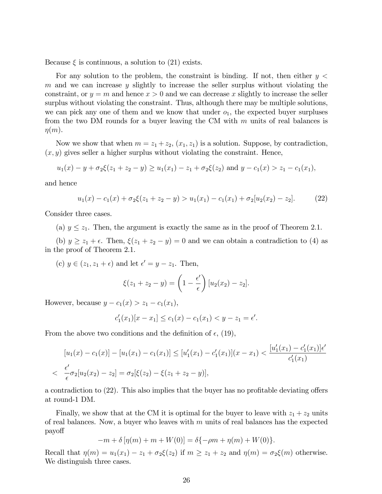Because  $\xi$  is continuous, a solution to (21) exists.

For any solution to the problem, the constraint is binding. If not, then either  $y <$ m and we can increase y slightly to increase the seller surplus without violating the constraint, or  $y = m$  and hence  $x > 0$  and we can decrease x slightly to increase the seller surplus without violating the constraint. Thus, although there may be multiple solutions, we can pick any one of them and we know that under  $o_1$ , the expected buyer surpluses from the two DM rounds for a buyer leaving the CM with  $m$  units of real balances is  $\eta(m)$ .

Now we show that when  $m = z_1 + z_2$ ,  $(x_1, z_1)$  is a solution. Suppose, by contradiction,  $(x, y)$  gives seller a higher surplus without violating the constraint. Hence,

$$
u_1(x) - y + \sigma_2\xi(z_1 + z_2 - y) \ge u_1(x_1) - z_1 + \sigma_2\xi(z_2)
$$
 and  $y - c_1(x) > z_1 - c_1(x_1)$ ,

and hence

$$
u_1(x) - c_1(x) + \sigma_2 \xi (z_1 + z_2 - y) > u_1(x_1) - c_1(x_1) + \sigma_2 [u_2(x_2) - z_2]. \tag{22}
$$

Consider three cases.

(a)  $y \leq z_1$ . Then, the argument is exactly the same as in the proof of Theorem 2.1.

(b)  $y \ge z_1 + \epsilon$ . Then,  $\xi(z_1 + z_2 - y) = 0$  and we can obtain a contradiction to (4) as in the proof of Theorem 2.1.

(c)  $y \in (z_1, z_1 + \epsilon)$  and let  $\epsilon' = y - z_1$ . Then,

$$
\xi(z_1+z_2-y)=\left(1-\frac{\epsilon'}{\epsilon}\right)[u_2(x_2)-z_2].
$$

However, because  $y - c_1(x) > z_1 - c_1(x_1)$ ,

$$
c'_1(x_1)[x - x_1] \le c_1(x) - c_1(x_1) < y - z_1 = \epsilon'.
$$

From the above two conditions and the definition of  $\epsilon$ , (19),

$$
[u_1(x) - c_1(x)] - [u_1(x_1) - c_1(x_1)] \leq [u'_1(x_1) - c'_1(x_1)](x - x_1) < \frac{[u'_1(x_1) - c'_1(x_1)]\epsilon'}{c'_1(x_1)}
$$
\n
$$
\leq \frac{\epsilon'}{\epsilon}\sigma_2[u_2(x_2) - z_2] = \sigma_2[\xi(z_2) - \xi(z_1 + z_2 - y)],
$$

a contradiction to  $(22)$ . This also implies that the buyer has no profitable deviating offers at round-1 DM.

Finally, we show that at the CM it is optimal for the buyer to leave with  $z_1 + z_2$  units of real balances. Now, a buyer who leaves with  $m$  units of real balances has the expected payo§

 $-m + \delta [\eta(m) + m + W(0)] = \delta \{-\rho m + \eta(m) + W(0)\}.$ 

Recall that  $\eta(m) = u_1(x_1) - z_1 + \sigma_2\xi(z_2)$  if  $m \ge z_1 + z_2$  and  $\eta(m) = \sigma_2\xi(m)$  otherwise. We distinguish three cases.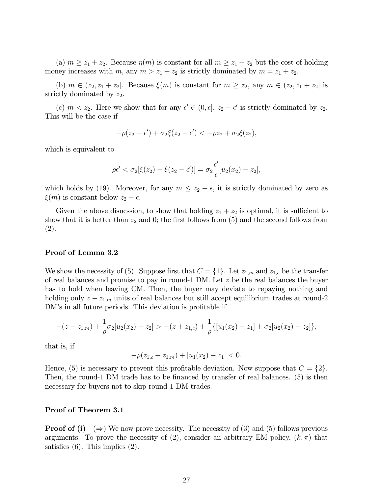(a)  $m \ge z_1 + z_2$ . Because  $\eta(m)$  is constant for all  $m \ge z_1 + z_2$  but the cost of holding money increases with m, any  $m > z_1 + z_2$  is strictly dominated by  $m = z_1 + z_2$ .

(b)  $m \in (z_2, z_1 + z_2]$ . Because  $\xi(m)$  is constant for  $m \geq z_2$ , any  $m \in (z_2, z_1 + z_2]$  is strictly dominated by  $z_2$ .

(c)  $m < z_2$ . Here we show that for any  $\epsilon' \in (0, \epsilon], z_2 - \epsilon'$  is strictly dominated by  $z_2$ . This will be the case if

$$
-\rho(z_2 - \epsilon') + \sigma_2 \xi(z_2 - \epsilon') < -\rho z_2 + \sigma_2 \xi(z_2),
$$

which is equivalent to

$$
\rho \epsilon' < \sigma_2[\xi(z_2) - \xi(z_2 - \epsilon')] = \sigma_2 \frac{\epsilon'}{\epsilon} [u_2(x_2) - z_2],
$$

which holds by (19). Moreover, for any  $m \leq z_2 - \epsilon$ , it is strictly dominated by zero as  $\xi(m)$  is constant below  $z_2 - \epsilon$ .

Given the above disucssion, to show that holding  $z_1 + z_2$  is optimal, it is sufficient to show that it is better than  $z_2$  and 0; the first follows from (5) and the second follows from (2).

#### Proof of Lemma 3.2

We show the necessity of (5). Suppose first that  $C = \{1\}$ . Let  $z_{1,m}$  and  $z_{1,c}$  be the transfer of real balances and promise to pay in round-1 DM. Let z be the real balances the buyer has to hold when leaving CM. Then, the buyer may deviate to repaying nothing and holding only  $z - z_{1,m}$  units of real balances but still accept equilibrium trades at round-2 DM's in all future periods. This deviation is profitable if

$$
-(z-z_{1,m})+\frac{1}{\rho}\sigma_2[u_2(x_2)-z_2] > -(z+z_{1,c})+\frac{1}{\rho}\{[u_1(x_2)-z_1]+\sigma_2[u_2(x_2)-z_2]\},\,
$$

that is, if

$$
-\rho(z_{1,c} + z_{1,m}) + [u_1(x_2) - z_1] < 0.
$$

Hence, (5) is necessary to prevent this profitable deviation. Now suppose that  $C = \{2\}$ . Then, the round-1 DM trade has to be financed by transfer of real balances. (5) is then necessary for buyers not to skip round-1 DM trades.

#### Proof of Theorem 3.1

**Proof of (i)**  $(\Rightarrow)$  We now prove necessity. The necessity of (3) and (5) follows previous arguments. To prove the necessity of (2), consider an arbitrary EM policy,  $(k, \pi)$  that satisfies  $(6)$ . This implies  $(2)$ .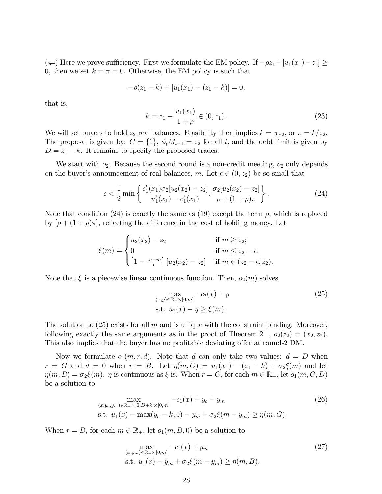( $\Leftarrow$ ) Here we prove sufficiency. First we formulate the EM policy. If  $-\rho z_1+[u_1(x_1)-z_1]\geq$ 0, then we set  $k = \pi = 0$ . Otherwise, the EM policy is such that

$$
-\rho(z_1 - k) + [u_1(x_1) - (z_1 - k)] = 0,
$$

that is,

$$
k = z_1 - \frac{u_1(x_1)}{1+\rho} \in (0, z_1).
$$
 (23)

We will set buyers to hold  $z_2$  real balances. Feasibility then implies  $k = \pi z_2$ , or  $\pi = k/z_2$ . The proposal is given by:  $C = \{1\}$ ,  $\phi_t M_{t-1} = z_2$  for all t, and the debt limit is given by  $D = z_1 - k$ . It remains to specify the proposed trades.

We start with  $o_2$ . Because the second round is a non-credit meeting,  $o_2$  only depends on the buyer's announcement of real balances, m. Let  $\epsilon \in (0, z_2)$  be so small that

$$
\epsilon < \frac{1}{2} \min \left\{ \frac{c_1'(x_1)\sigma_2[u_2(x_2) - z_2]}{u_1'(x_1) - c_1'(x_1)}, \frac{\sigma_2[u_2(x_2) - z_2]}{\rho + (1 + \rho)\pi} \right\} . \tag{24}
$$

Note that condition (24) is exactly the same as (19) except the term  $\rho$ , which is replaced by  $[\rho + (1 + \rho)\pi]$ , reflecting the difference in the cost of holding money. Let

$$
\xi(m) = \begin{cases} u_2(x_2) - z_2 & \text{if } m \ge z_2; \\ 0 & \text{if } m \le z_2 - \epsilon; \\ \left[1 - \frac{z_2 - m}{\epsilon}\right] [u_2(x_2) - z_2] & \text{if } m \in (z_2 - \epsilon, z_2). \end{cases}
$$

Note that  $\xi$  is a piecewise linear continuous function. Then,  $o_2(m)$  solves

$$
\max_{(x,y)\in\mathbb{R}_+\times[0,m]} -c_2(x) + y
$$
\n
$$
\text{s.t. } u_2(x) - y \ge \xi(m).
$$
\n(25)

The solution to  $(25)$  exists for all m and is unique with the constraint binding. Moreover, following exactly the same arguments as in the proof of Theorem 2.1,  $o_2(z_2) = (x_2, z_2)$ . This also implies that the buyer has no profitable deviating offer at round-2 DM.

Now we formulate  $o_1(m, r, d)$ . Note that d can only take two values:  $d = D$  when  $r = G$  and  $d = 0$  when  $r = B$ . Let  $\eta(m, G) = u_1(x_1) - (z_1 - k) + \sigma_2\xi(m)$  and let  $\eta(m, B) = \sigma_2 \xi(m)$ .  $\eta$  is continuous as  $\xi$  is. When  $r = G$ , for each  $m \in \mathbb{R}_+$ , let  $o_1(m, G, D)$ be a solution to

$$
\max_{(x,y_c,y_m)\in\mathbb{R}_+\times[0,D+k]\times[0,m]} -c_1(x) + y_c + y_m
$$
\n
$$
\text{s.t. } u_1(x) - \max(y_c - k, 0) - y_m + \sigma_2\xi(m - y_m) \ge \eta(m, G).
$$
\n(26)

When  $r = B$ , for each  $m \in \mathbb{R}_+$ , let  $o_1(m, B, 0)$  be a solution to

$$
\max_{\substack{(x,y_m)\in\mathbb{R}_+\times[0,m]}} -c_1(x) + y_m
$$
\n
$$
\text{s.t. } u_1(x) - y_m + \sigma_2\xi(m - y_m) \ge \eta(m, B).
$$
\n(27)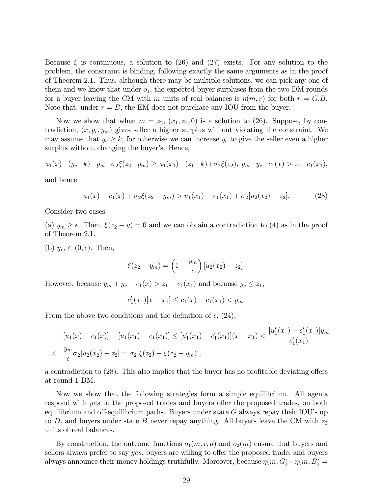Because  $\xi$  is continuous, a solution to (26) and (27) exists. For any solution to the problem, the constraint is binding, following exactly the same arguments as in the proof of Theorem 2.1. Thus, although there may be multiple solutions, we can pick any one of them and we know that under  $o_1$ , the expected buyer surpluses from the two DM rounds for a buyer leaving the CM with m units of real balances is  $\eta(m, r)$  for both  $r = G, B$ . Note that, under  $r = B$ , the EM does not purchase any IOU from the buyer.

Now we show that when  $m = z_2, (x_1, z_1, 0)$  is a solution to (26). Suppose, by contradiction,  $(x, y_c, y_m)$  gives seller a higher surplus without violating the constraint. We may assume that  $y_c \geq k$ , for otherwise we can increase  $y_c$  to give the seller even a higher surplus without changing the buyer's. Hence,

$$
u_1(x) - (y_c - k) - y_m + \sigma_2 \xi(z_2 - y_m) \ge u_1(x_1) - (z_1 - k) + \sigma_2 \xi(z_2), \ y_m + y_c - c_1(x) > z_1 - c_1(x_1),
$$

and hence

$$
u_1(x) - c_1(x) + \sigma_2 \xi(z_2 - y_m) > u_1(x_1) - c_1(x_1) + \sigma_2[u_2(x_2) - z_2].
$$
 (28)

Consider two cases.

(a)  $y_m \geq \epsilon$ . Then,  $\xi(z_2 - y) = 0$  and we can obtain a contradiction to (4) as in the proof of Theorem 2.1.

(b)  $y_m \in (0, \epsilon)$ . Then,

$$
\xi(z_2 - y_m) = \left(1 - \frac{y_m}{\epsilon}\right) [u_2(x_2) - z_2].
$$

However, because  $y_m + y_c - c_1(x) > z_1 - c_1(x_1)$  and because  $y_c \le z_1$ ,

$$
c_1'(x_1)[x - x_1] \le c_1(x) - c_1(x_1) < y_m.
$$

From the above two conditions and the definition of  $\epsilon$ , (24),

$$
[u_1(x) - c_1(x)] - [u_1(x_1) - c_1(x_1)] \leq [u'_1(x_1) - c'_1(x_1)](x - x_1) < \frac{[u'_1(x_1) - c'_1(x_1)]y_m}{c'_1(x_1)} < \frac{y_m}{\epsilon} \sigma_2[u_2(x_2) - z_2] = \sigma_2[\xi(z_2) - \xi(z_2 - y_m)],
$$

a contradiction to  $(28)$ . This also implies that the buyer has no profitable deviating offers at round-1 DM.

Now we show that the following strategies form a simple equilibrium. All agents respond with yes to the proposed trades and buyers offer the proposed trades, on both equilibrium and off-equilibrium paths. Buyers under state  $G$  always repay their IOU's up to D, and buyers under state B never repay anything. All buyers leave the CM with  $z_2$ units of real balances.

By construction, the outcome functions  $o_1(m, r, d)$  and  $o_2(m)$  ensure that buyers and sellers always prefer to say yes, buyers are willing to offer the proposed trade, and buyers always announce their money holdings truthfully. Moreover, because  $\eta(m, G) - \eta(m, B) =$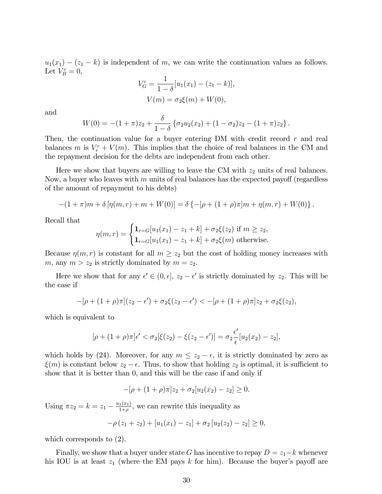$u_1(x_1) - (z_1 - k)$  is independent of m, we can write the continuation values as follows. Let  $V_B^c = 0$ ,

$$
V_G^c = \frac{1}{1 - \delta} [u_1(x_1) - (z_1 - k)],
$$
  

$$
V(m) = \sigma_2 \xi(m) + W(0),
$$

and

$$
W(0) = -(1+\pi)z_2 + \frac{\delta}{1-\delta} \left\{ \sigma_2 u_2(x_2) + (1-\sigma_2)z_2 - (1+\pi)z_2 \right\}.
$$

Then, the continuation value for a buyer entering DM with credit record  $r$  and real balances m is  $V_r^c + V(m)$ . This implies that the choice of real balances in the CM and the repayment decision for the debts are independent from each other.

Here we show that buyers are willing to leave the CM with  $z_2$  units of real balances. Now, a buyer who leaves with  $m$  units of real balances has the expected payoff (regardless of the amount of repayment to his debts)

$$
-(1+\pi)m+\delta[\eta(m,r)+m+W(0)]=\delta\{-[\rho+(1+\rho)\pi]m+\eta(m,r)+W(0)\}.
$$

Recall that

$$
\eta(m,r) = \begin{cases} \mathbf{1}_{r=G}[u_1(x_1) - z_1 + k] + \sigma_2 \xi(z_2) \text{ if } m \ge z_2, \\ \mathbf{1}_{r=G}[u_1(x_1) - z_1 + k] + \sigma_2 \xi(m) \text{ otherwise.} \end{cases}
$$

Because  $\eta(m, r)$  is constant for all  $m \geq z_2$  but the cost of holding money increases with m, any  $m > z_2$  is strictly dominated by  $m = z_2$ .

Here we show that for any  $\epsilon' \in (0, \epsilon], z_2 - \epsilon'$  is strictly dominated by  $z_2$ . This will be the case if

$$
-[\rho + (1+\rho)\pi](z_2 - \epsilon') + \sigma_2\xi(z_2 - \epsilon') < -[\rho + (1+\rho)\pi]z_2 + \sigma_2\xi(z_2),
$$

which is equivalent to

$$
[\rho + (1+\rho)\pi]\epsilon' < \sigma_2[\xi(z_2) - \xi(z_2 - \epsilon')] = \sigma_2 \frac{\epsilon'}{\epsilon} [u_2(x_2) - z_2],
$$

which holds by (24). Moreover, for any  $m \leq z_2 - \epsilon$ , it is strictly dominated by zero as  $\xi(m)$  is constant below  $z_2 - \epsilon$ . Thus, to show that holding  $z_2$  is optimal, it is sufficient to show that it is better than 0, and this will be the case if and only if

$$
-[\rho + (1+\rho)\pi]z_2 + \sigma_2[u_2(x_2) - z_2] \geq 0.
$$

Using  $\pi z_2 = k = z_1 - \frac{u_1(x_1)}{1+\rho}$  $\frac{1(x_1)}{1+\rho}$ , we can rewrite this inequality as

$$
-\rho(z_1 + z_2) + [u_1(x_1) - z_1] + \sigma_2 [u_2(z_2) - z_2] \ge 0,
$$

which corresponds to (2).

Finally, we show that a buyer under state G has incentive to repay  $D = z_1 - k$  whenever his IOU is at least  $z_1$  (where the EM pays k for him). Because the buyer's payoff are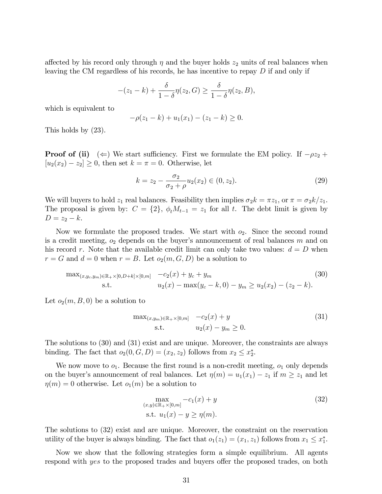affected by his record only through  $\eta$  and the buyer holds  $z_2$  units of real balances when leaving the CM regardless of his records, he has incentive to repay D if and only if

$$
-(z_1 - k) + \frac{\delta}{1 - \delta} \eta(z_2, G) \ge \frac{\delta}{1 - \delta} \eta(z_2, B),
$$

which is equivalent to

$$
-\rho(z_1 - k) + u_1(x_1) - (z_1 - k) \ge 0.
$$

This holds by (23).

**Proof of (ii)**  $(\Leftarrow)$  We start sufficiency. First we formulate the EM policy. If  $-\rho z_2 +$  $[u_2(x_2) - z_2] \geq 0$ , then set  $k = \pi = 0$ . Otherwise, let

$$
k = z_2 - \frac{\sigma_2}{\sigma_2 + \rho} u_2(x_2) \in (0, z_2).
$$
 (29)

We will buyers to hold  $z_1$  real balances. Feasibility then implies  $\sigma_2 k = \pi z_1$ , or  $\pi = \sigma_2 k/z_1$ . The proposal is given by:  $C = \{2\}$ ,  $\phi_t M_{t-1} = z_1$  for all t. The debt limit is given by  $D = z_2 - k.$ 

Now we formulate the proposed trades. We start with  $o_2$ . Since the second round is a credit meeting,  $o_2$  depends on the buyer's announcement of real balances m and on his record r. Note that the available credit limit can only take two values:  $d = D$  when  $r = G$  and  $d = 0$  when  $r = B$ . Let  $o_2(m, G, D)$  be a solution to

$$
\max_{(x,y_c,y_m)\in\mathbb{R}_+\times[0,D+k]\times[0,m]} \quad -c_2(x) + y_c + y_m
$$
\n
$$
\text{s.t.} \quad u_2(x) - \max(y_c - k, 0) - y_m \ge u_2(x_2) - (z_2 - k).
$$
\n(30)

Let  $o_2(m, B, 0)$  be a solution to

$$
\max_{(x,y_m)\in\mathbb{R}_+\times[0,m]} -c_2(x) + y
$$
  
s.t.  $u_2(x) - y_m \ge 0.$  (31)

The solutions to (30) and (31) exist and are unique. Moreover, the constraints are always binding. The fact that  $o_2(0, G, D) = (x_2, z_2)$  follows from  $x_2 \le x_2^*$ .

We now move to  $o_1$ . Because the first round is a non-credit meeting,  $o_1$  only depends on the buyer's announcement of real balances. Let  $\eta(m) = u_1(x_1) - z_1$  if  $m \ge z_1$  and let  $\eta(m) = 0$  otherwise. Let  $o_1(m)$  be a solution to

$$
\max_{\substack{(x,y)\in\mathbb{R}_+\times[0,m]}} -c_1(x) + y
$$
\n
$$
\text{s.t. } u_1(x) - y \ge \eta(m).
$$
\n(32)

The solutions to (32) exist and are unique. Moreover, the constraint on the reservation utility of the buyer is always binding. The fact that  $o_1(z_1) = (x_1, z_1)$  follows from  $x_1 \le x_1^*$ .

Now we show that the following strategies form a simple equilibrium. All agents respond with yes to the proposed trades and buyers offer the proposed trades, on both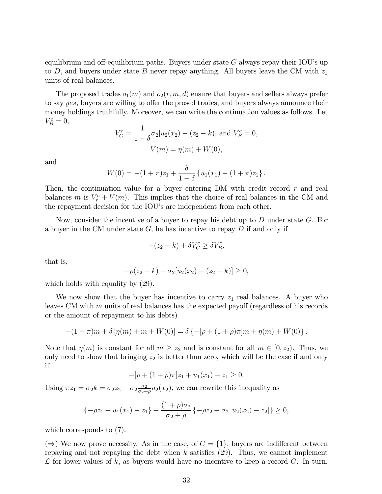equilibrium and off-equilibrium paths. Buyers under state  $G$  always repay their IOU's up to D, and buyers under state B never repay anything. All buyers leave the CM with  $z_1$ units of real balances.

The proposed trades  $o_1(m)$  and  $o_2(r, m, d)$  ensure that buyers and sellers always prefer to say yes, buyers are willing to offer the prosed trades, and buyers always announce their money holdings truthfully. Moreover, we can write the continuation values as follows. Let  $V_B^c=0,$ 

$$
V_G^c = \frac{1}{1 - \delta} \sigma_2 [u_2(x_2) - (z_2 - k)] \text{ and } V_B^c = 0,
$$
  

$$
V(m) = \eta(m) + W(0),
$$

and

$$
W(0) = -(1+\pi)z_1 + \frac{\delta}{1-\delta}\left\{u_1(x_1) - (1+\pi)z_1\right\}.
$$

Then, the continuation value for a buyer entering DM with credit record  $r$  and real balances m is  $V_r^c + V(m)$ . This implies that the choice of real balances in the CM and the repayment decision for the IOU's are independent from each other.

Now, consider the incentive of a buyer to repay his debt up to  $D$  under state  $G$ . For a buyer in the CM under state  $G$ , he has incentive to repay  $D$  if and only if

$$
-(z_2 - k) + \delta V_G^c \ge \delta V_B^c,
$$

that is,

$$
-\rho(z_2 - k) + \sigma_2[u_2(x_2) - (z_2 - k)] \ge 0,
$$

which holds with equality by  $(29)$ .

We now show that the buyer has incentive to carry  $z_1$  real balances. A buyer who leaves CM with  $m$  units of real balances has the expected payoff (regardless of his records or the amount of repayment to his debts)

$$
-(1+\pi)m+\delta[\eta(m)+m+W(0)]=\delta\{-[\rho+(1+\rho)\pi]m+\eta(m)+W(0)\}.
$$

Note that  $\eta(m)$  is constant for all  $m \ge z_2$  and is constant for all  $m \in [0, z_2)$ . Thus, we only need to show that bringing  $z_2$  is better than zero, which will be the case if and only if

$$
-[\rho + (1+\rho)\pi]z_1 + u_1(x_1) - z_1 \ge 0.
$$

Using  $\pi z_1 = \sigma_2 k = \sigma_2 z_2 - \sigma_2 \frac{\sigma_2}{\sigma_2 + \sigma_1}$  $\frac{\sigma_2}{\sigma_2+\rho}u_2(x_2)$ , we can rewrite this inequality as

$$
\{-\rho z_1 + u_1(x_1) - z_1\} + \frac{(1+\rho)\sigma_2}{\sigma_2 + \rho} \{-\rho z_2 + \sigma_2 [u_2(x_2) - z_2]\} \ge 0,
$$

which corresponds to (7).

 $(\Rightarrow)$  We now prove necessity. As in the case, of  $C = \{1\}$ , buyers are indifferent between repaying and not repaying the debt when  $k$  satisfies (29). Thus, we cannot implement  $\mathcal L$  for lower values of k, as buyers would have no incentive to keep a record G. In turn,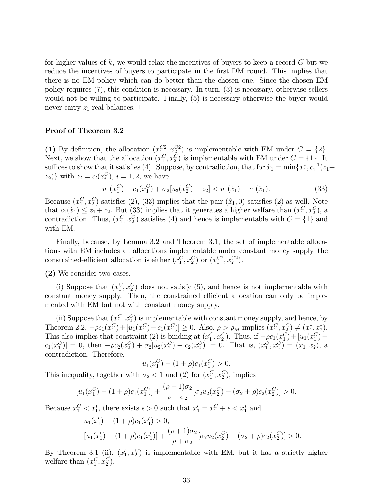for higher values of  $k$ , we would relax the incentives of buyers to keep a record  $G$  but we reduce the incentives of buyers to participate in the first DM round. This implies that there is no EM policy which can do better than the chosen one. Since the chosen EM policy requires (7), this condition is necessary. In turn, (3) is necessary, otherwise sellers would not be willing to participate. Finally, (5) is necessary otherwise the buyer would never carry  $z_1$  real balances.

### Proof of Theorem 3.2

(1) By definition, the allocation  $(x_1^{C_2}, x_2^{C_2})$  is implementable with EM under  $C = \{2\}$ . Next, we show that the allocation  $(x_1^C, x_2^C)$  is implementable with EM under  $C = \{1\}$ . It suffices to show that it satisfies (4). Suppose, by contradiction, that for  $\hat{x}_1 = \min\{x_1^*, c_1^{-1}(z_1 + \dots + c_n)\}$  $(z_2)$ } with  $z_i = c_i(x_i^C), i = 1, 2$ , we have

$$
u_1(x_1^C) - c_1(x_1^C) + \sigma_2[u_2(x_2^C) - z_2] < u_1(\hat{x}_1) - c_1(\hat{x}_1). \tag{33}
$$

Because  $(x_1^C, x_2^C)$  satisfies (2), (33) implies that the pair  $(\hat{x}_1, 0)$  satisfies (2) as well. Note that  $c_1(\hat{x}_1) \leq z_1 + z_2$ . But (33) implies that it generates a higher welfare than  $(x_1^C, x_2^C)$ , a contradiction. Thus,  $(x_1^C, x_2^C)$  satisfies (4) and hence is implementable with  $C = \{1\}$  and with EM.

Finally, because, by Lemma 3.2 and Theorem 3.1, the set of implementable allocations with EM includes all allocations implementable under constant money supply, the constrained-efficient allocation is either  $(x_1^C, x_2^C)$  or  $(x_1^{C2}, x_2^{C2})$ .

(2) We consider two cases.

(i) Suppose that  $(x_1^C, x_2^C)$  does not satisfy (5), and hence is not implementable with constant money supply. Then, the constrained efficient allocation can only be implemented with EM but not with constant money supply.

(ii) Suppose that  $(x_1^C, x_2^C)$  is implementable with constant money supply, and hence, by Theorem 2.2,  $-\rho c_1(x_1^C) + [u_1(x_1^C) - c_1(x_1^C)] \ge 0$ . Also,  $\rho > \rho_M$  implies  $(x_1^C, x_2^C) \neq (x_1^*, x_2^*)$ . This also implies that constraint (2) is binding at  $(x_1^C, x_2^C)$ . Thus, if  $-\rho c_1(x_1^C) + [u_1(x_1^C)$  $c_1(x_1^C) = 0$ , then  $-\rho c_2(x_2^C) + \sigma_2[u_2(x_2^C) - c_2(x_2^C)] = 0$ . That is,  $(x_1^C, x_2^C) = (\bar{x}_1, \bar{x}_2)$ , a contradiction. Therefore,

$$
u_1(x_1^C) - (1+\rho)c_1(x_1^C) > 0.
$$

This inequality, together with  $\sigma_2 < 1$  and (2) for  $(x_1^C, x_2^C)$ , implies

$$
[u_1(x_1^C) - (1+\rho)c_1(x_1^C)] + \frac{(\rho+1)\sigma_2}{\rho+\sigma_2}[\sigma_2 u_2(x_2^C) - (\sigma_2+\rho)c_2(x_2^C)] > 0.
$$

Because  $x_1^C < x_1^*$ , there exists  $\epsilon > 0$  such that  $x_1' = x_1^C + \epsilon < x_1^*$  and

$$
u_1(x'_1) - (1 + \rho)c_1(x'_1) > 0,
$$
  
\n
$$
[u_1(x'_1) - (1 + \rho)c_1(x'_1)] + \frac{(\rho + 1)\sigma_2}{\rho + \sigma_2} [\sigma_2 u_2(x_2^C) - (\sigma_2 + \rho)c_2(x_2^C)] > 0.
$$

By Theorem 3.1 (ii),  $(x_1, x_2^C)$  is implementable with EM, but it has a strictly higher welfare than  $(x_1^C, x_2^C)$ .  $\Box$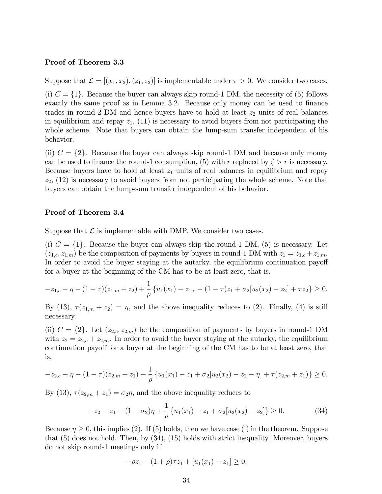#### Proof of Theorem 3.3

Suppose that  $\mathcal{L} = [(x_1, x_2), (z_1, z_2)]$  is implementable under  $\pi > 0$ . We consider two cases. (i)  $C = \{1\}$ . Because the buyer can always skip round-1 DM, the necessity of (5) follows exactly the same proof as in Lemma 3.2. Because only money can be used to finance trades in round-2 DM and hence buyers have to hold at least  $z_2$  units of real balances in equilibrium and repay  $z_1$ , (11) is necessary to avoid buyers from not participating the whole scheme. Note that buyers can obtain the lump-sum transfer independent of his behavior.

(ii)  $C = \{2\}$ . Because the buyer can always skip round-1 DM and because only money can be used to finance the round-1 consumption, (5) with r replaced by  $\zeta > r$  is necessary. Because buyers have to hold at least  $z_1$  units of real balances in equilibrium and repay  $z_2$ ,  $(12)$  is necessary to avoid buyers from not participating the whole scheme. Note that buyers can obtain the lump-sum transfer independent of his behavior.

### Proof of Theorem 3.4

Suppose that  $\mathcal L$  is implementable with DMP. We consider two cases.

(i)  $C = \{1\}$ . Because the buyer can always skip the round-1 DM, (5) is necessary. Let  $(z_{1,c}, z_{1,m})$  be the composition of payments by buyers in round-1 DM with  $z_1 = z_{1,c} + z_{1,m}$ . In order to avoid the buyer staying at the autarky, the equilibrium continuation payoff for a buyer at the beginning of the CM has to be at least zero, that is,

$$
-z_{1,c} - \eta - (1 - \tau)(z_{1,m} + z_2) + \frac{1}{\rho} \{u_1(x_1) - z_{1,c} - (1 - \tau)z_1 + \sigma_2[u_2(x_2) - z_2] + \tau z_2\} \ge 0.
$$

By (13),  $\tau(z_{1,m} + z_2) = \eta$ , and the above inequality reduces to (2). Finally, (4) is still necessary.

(ii)  $C = \{2\}$ . Let  $(z_{2,c}, z_{2,m})$  be the composition of payments by buyers in round-1 DM with  $z_2 = z_{2,c} + z_{2,m}$ . In order to avoid the buyer staying at the autarky, the equilibrium continuation payoff for a buyer at the beginning of the CM has to be at least zero, that is,

$$
-z_{2,c} - \eta - (1 - \tau)(z_{2,m} + z_1) + \frac{1}{\rho} \{u_1(x_1) - z_1 + \sigma_2[u_2(x_2) - z_2 - \eta] + \tau(z_{2,m} + z_1)\} \ge 0.
$$

By (13),  $\tau(z_{2,m} + z_1) = \sigma_2 \eta$ , and the above inequality reduces to

$$
-z_2 - z_1 - (1 - \sigma_2)\eta + \frac{1}{\rho} \{u_1(x_1) - z_1 + \sigma_2[u_2(x_2) - z_2]\} \ge 0.
$$
 (34)

Because  $\eta \geq 0$ , this implies (2). If (5) holds, then we have case (i) in the theorem. Suppose that (5) does not hold. Then, by (34), (15) holds with strict inequality. Moreover, buyers do not skip round-1 meetings only if

$$
-\rho z_1 + (1+\rho)\tau z_1 + [u_1(x_1) - z_1] \ge 0,
$$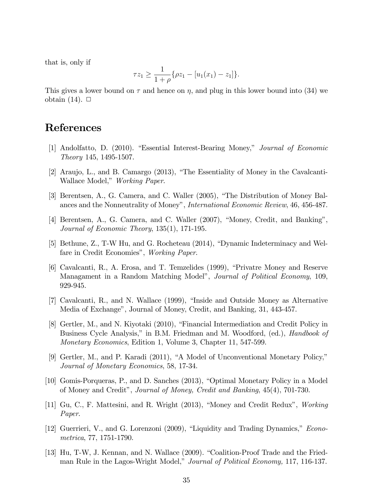that is, only if

$$
\tau z_1 \ge \frac{1}{1+\rho} \{\rho z_1 - [u_1(x_1) - z_1] \}.
$$

This gives a lower bound on  $\tau$  and hence on  $\eta$ , and plug in this lower bound into (34) we obtain  $(14)$ .  $\Box$ 

## References

- [1] Andolfatto, D. (2010). "Essential Interest-Bearing Money," Journal of Economic Theory 145, 1495-1507.
- [2] Araujo, L., and B. Camargo  $(2013)$ , "The Essentiality of Money in the Cavalcanti-Wallace Model," Working Paper.
- [3] Berentsen, A., G. Camera, and C. Waller (2005), "The Distribution of Money Balances and the Nonneutrality of Money", *International Economic Review*, 46, 456-487.
- [4] Berentsen, A., G. Camera, and C. Waller (2007), "Money, Credit, and Banking", Journal of Economic Theory, 135(1), 171-195.
- [5] Bethune,  $Z_{\cdot}$ , T-W Hu, and G. Rocheteau  $(2014)$ , "Dynamic Indeterminacy and Welfare in Credit Economies", Working Paper.
- [6] Cavalcanti, R., A. Erosa, and T. Temzelides (1999), "Privatre Money and Reserve Managament in a Random Matching Model", Journal of Political Economy, 109, 929-945.
- $[7]$  Cavalcanti, R., and N. Wallace  $(1999)$ , "Inside and Outside Money as Alternative Media of Exchange", Journal of Money, Credit, and Banking, 31, 443-457.
- [8] Gertler, M., and N. Kiyotaki (2010), "Financial Intermediation and Credit Policy in Business Cycle Analysis," in B.M. Friedman and M. Woodford, (ed.), *Handbook of* Monetary Economics, Edition 1, Volume 3, Chapter 11, 547-599.
- [9] Gertler, M., and P. Karadi  $(2011)$ , "A Model of Unconventional Monetary Policy," Journal of Monetary Economics, 58, 17-34.
- [10] Gomis-Porqueras, P., and D. Sanches (2013), "Optimal Monetary Policy in a Model of Money and Creditî, Journal of Money, Credit and Banking, 45(4), 701-730.
- [11] Gu, C., F. Mattesini, and R. Wright (2013), "Money and Credit Redux", Working Paper.
- [12] Guerrieri, V., and G. Lorenzoni (2009), "Liquidity and Trading Dynamics,"  $Econo$ metrica, 77, 1751-1790.
- [13] Hu, T-W, J. Kennan, and N. Wallace (2009). "Coalition-Proof Trade and the Friedman Rule in the Lagos-Wright Model," Journal of Political Economy, 117, 116-137.